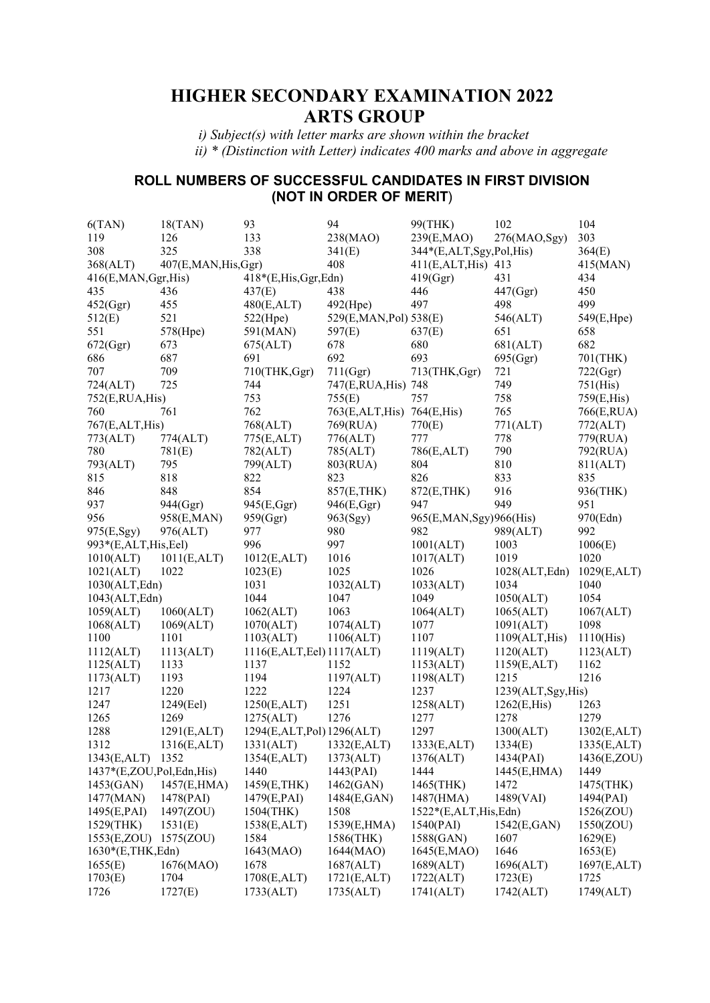# **HIGHER SECONDARY EXAMINATION 2022 ARTS GROUP**

 *i) Subject(s) with letter marks are shown within the bracket ii) \* (Distinction with Letter) indicates 400 marks and above in aggregate* 

### **ROLL NUMBERS OF SUCCESSFUL CANDIDATES IN FIRST DIVISION (NOT IN ORDER OF MERIT**)

| 6(TAN)                   | 18(TAN)              | 93                         | 94                           | 99(THK)                  | 102                 | 104         |
|--------------------------|----------------------|----------------------------|------------------------------|--------------------------|---------------------|-------------|
| 119                      | 126                  | 133                        | 238(MAO)                     | 239(E,MAO)               | 276(MAO,Sgy)        | 303         |
| 308                      | 325                  | 338                        | 341(E)                       | 344*(E,ALT,Sgy,Pol,His)  |                     | 364(E)      |
| 368(ALT)                 | 407(E,MAN, His, Ggr) |                            | 408                          | 411(E, ALT, His) 413     |                     | 415(MAN)    |
| 416(E,MAN, Ggr, His)     |                      | 418*(E,His,Ggr,Edn)        |                              | 419(Ggr)                 | 431                 | 434         |
| 435                      | 436                  | 437(E)                     | 438                          | 446                      | 447(Ggr)            | 450         |
| 452(Ggr)                 | 455                  | 480(E,ALT)                 | 492(Hpe)                     | 497                      | 498                 | 499         |
| 512(E)                   | 521                  | $522$ (Hpe)                | 529(E,MAN,Pol) 538(E)        |                          | 546(ALT)            | 549(E,Hpe)  |
| 551                      | 578(Hpe)             | 591(MAN)                   | 597(E)                       | 637(E)                   | 651                 | 658         |
| 672(Ggr)                 | 673                  | 675(ALT)                   | 678                          | 680                      | 681(ALT)            | 682         |
| 686                      | 687                  | 691                        | 692                          | 693                      | 695(Ggr)            | 701(THK)    |
| 707                      | 709                  | 710(THK,Ggr)               | 711(Ggr)                     | 713(THK,Ggr)             | 721                 | 722(Ggr)    |
| 724(ALT)                 | 725                  | 744                        | 747(E,RUA, His) 748          |                          | 749                 | 751(His)    |
| 752(E, RUA, His)         |                      | 753                        | 755(E)                       | 757                      | 758                 | 759(E,His)  |
| 760                      | 761                  | 762                        | 763(E, ALT, His) 764(E, His) |                          | 765                 | 766(E,RUA)  |
| 767(E,ALT,His)           |                      | 768(ALT)                   | 769(RUA)                     | 770(E)                   | 771(ALT)            | 772(ALT)    |
| 773(ALT)                 | 774(ALT)             | 775(E,ALT)                 | 776(ALT)                     | 777                      | 778                 | 779(RUA)    |
| 780                      | 781(E)               | 782(ALT)                   | 785(ALT)                     | 786(E,ALT)               | 790                 | 792(RUA)    |
| 793(ALT)                 | 795                  | 799(ALT)                   | 803(RUA)                     | 804                      | 810                 | 811(ALT)    |
| 815                      | 818                  | 822                        | 823                          | 826                      | 833                 | 835         |
| 846                      | 848                  | 854                        |                              |                          |                     |             |
|                          |                      |                            | 857(E,THK)                   | 872(E, THK)              | 916                 | 936(THK)    |
| 937                      | 944(Ggr)             | 945(E,Ggr)                 | 946(E,Ggr)                   | 947                      | 949                 | 951         |
| 956                      | 958(E,MAN)           | 959(Ggr)                   | 963(Sgy)                     | 965(E,MAN, Sgy) 966(His) |                     | 970(Edn)    |
| 975(E,Sgy)               | 976(ALT)             | 977                        | 980                          | 982                      | 989(ALT)            | 992         |
| 993*(E,ALT,His,Eel)      |                      | 996                        | 997                          | 1001(ALT)                | 1003                | 1006(E)     |
| 1010(ALT)                | 1011(E,ALT)          | 1012(E,ALT)                | 1016                         | 1017(ALT)                | 1019                | 1020        |
| 1021(ALT)                | 1022                 | 1023(E)                    | 1025                         | 1026                     | 1028(ALT, Edn)      | 1029(E,ALT) |
| 1030(ALT, Edn)           |                      | 1031                       | 1032(ALT)                    | 1033(ALT)                | 1034                | 1040        |
| 1043(ALT, Edn)           |                      | 1044                       | 1047                         | 1049                     | 1050(ALT)           | 1054        |
| 1059(ALT)                | 1060(ALT)            | 1062(ALT)                  | 1063                         | 1064(ALT)                | 1065(ALT)           | 1067(ALT)   |
| 1068(ALT)                | 1069(ALT)            | 1070(ALT)                  | 1074(ALT)                    | 1077                     | 1091(ALT)           | 1098        |
| 1100                     | 1101                 | 1103(ALT)                  | 1106(ALT)                    | 1107                     | 1109(ALT, His)      | 1110(His)   |
| 1112(ALT)                | 1113(ALT)            | 1116(E,ALT, Eel) 1117(ALT) |                              | 1119(ALT)                | 1120(ALT)           | 1123(ALT)   |
| 1125(ALT)                | 1133                 | 1137                       | 1152                         | 1153(ALT)                | 1159(E,ALT)         | 1162        |
| 1173(ALT)                | 1193                 | 1194                       | 1197(ALT)                    | 1198(ALT)                | 1215                | 1216        |
| 1217                     | 1220                 | 1222                       | 1224                         | 1237                     | 1239(ALT, Sgy, His) |             |
| 1247                     | 1249(Eel)            | 1250(E,ALT)                | 1251                         | 1258(ALT)                | 1262(E, His)        | 1263        |
| 1265                     | 1269                 | 1275(ALT)                  | 1276                         | 1277                     | 1278                | 1279        |
| 1288                     | 1291(E,ALT)          | 1294(E,ALT,Pol) 1296(ALT)  |                              | 1297                     | 1300(ALT)           | 1302(E,ALT) |
| 1312                     | 1316(E,ALT)          | 1331(ALT)                  | 1332(E,ALT)                  | 1333(E,ALT)              | 1334(E)             | 1335(E,ALT) |
| 1343(E,ALT)              | 1352                 | 1354(E,ALT)                | 1373(ALT)                    | 1376(ALT)                | 1434(PAI)           | 1436(E,ZOU) |
| 1437*(E,ZOU,Pol,Edn,His) |                      | 1440                       | 1443(PAI)                    | 1444                     | 1445(E,HMA)         | 1449        |
| 1453(GAN)                | 1457(E,HMA)          | 1459(E,THK)                | 1462(GAN)                    | 1465(THK)                | 1472                | 1475(THK)   |
| 1477(MAN)                | 1478(PAI)            | 1479(E,PAI)                | 1484(E,GAN)                  | 1487(HMA)                | 1489(VAI)           | 1494(PAI)   |
| 1495(E,PAI)              | 1497(ZOU)            | 1504(THK)                  | 1508                         | 1522*(E,ALT,His,Edn)     |                     | 1526(ZOU)   |
| 1529(THK)                | 1531(E)              | 1538(E,ALT)                | 1539(E,HMA)                  | 1540(PAI)                | 1542(E,GAN)         | 1550(ZOU)   |
| 1553(E,ZOU) 1575(ZOU)    |                      | 1584                       | 1586(THK)                    | 1588(GAN)                | 1607                | 1629(E)     |
| 1630*(E,THK,Edn)         |                      | 1643(MAO)                  | 1644(MAO)                    | 1645(E,MAO)              | 1646                | 1653(E)     |
| 1655(E)                  | 1676(MAO)            | 1678                       | 1687(ALT)                    | 1689(ALT)                | 1696(ALT)           | 1697(E,ALT) |
| 1703(E)                  | 1704                 | 1708(E,ALT)                | 1721(E,ALT)                  | 1722(ALT)                | 1723(E)             | 1725        |
| 1726                     | 1727(E)              | 1733(ALT)                  | 1735(ALT)                    | 1741(ALT)                | 1742(ALT)           | 1749(ALT)   |
|                          |                      |                            |                              |                          |                     |             |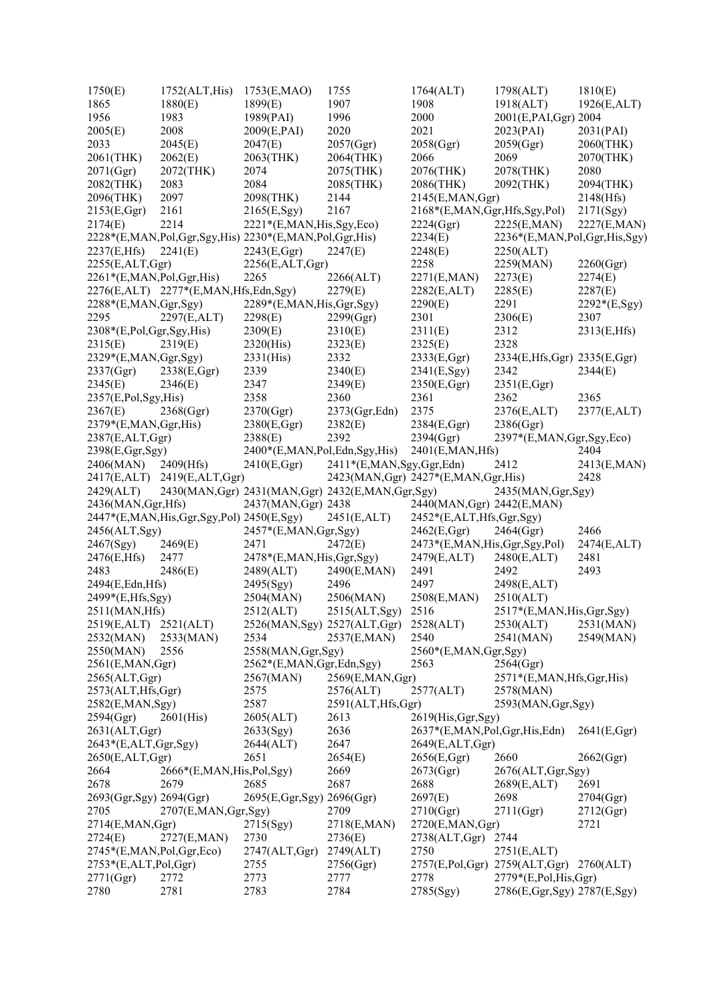| 1750(E)                        | 1752(ALT, His)                                | 1753(E,MAO)                                           | 1755                     | 1764(ALT)                              | 1798(ALT)                     | 1810(E)      |
|--------------------------------|-----------------------------------------------|-------------------------------------------------------|--------------------------|----------------------------------------|-------------------------------|--------------|
| 1865                           | 1880(E)                                       | 1899(E)                                               | 1907                     | 1908                                   | 1918(ALT)                     | 1926(E,ALT)  |
| 1956                           | 1983                                          | 1989(PAI)                                             | 1996                     | 2000                                   | 2001(E,PAI,Ggr) 2004          |              |
| 2005(E)                        | 2008                                          | 2009(E,PAI)                                           | 2020                     | 2021                                   | 2023(PAI)                     | 2031(PAI)    |
| 2033                           | 2045(E)                                       | 2047(E)                                               | 2057(Ggr)                | 2058(Ggr)                              | 2059(Ggr)                     | 2060(THK)    |
| 2061(THK)                      | 2062(E)                                       | 2063(THK)                                             | 2064(THK)                | 2066                                   | 2069                          | 2070(THK)    |
| 2071(Ggr)                      | 2072(THK)                                     | 2074                                                  | 2075(THK)                | 2076(THK)                              | 2078(THK)                     | 2080         |
| 2082(THK)                      | 2083                                          | 2084                                                  | 2085(THK)                | 2086(THK)                              | 2092(THK)                     | 2094(THK)    |
| 2096(THK)                      | 2097                                          | 2098(THK)                                             | 2144                     | 2145(E,MAN,Ggr)                        |                               | 2148(Hfs)    |
| 2153(E, Ggr)                   | 2161                                          | 2165(E, Sgy)                                          | 2167                     | 2168*(E,MAN,Ggr,Hfs,Sgy,Pol)           |                               | 2171(Sgy)    |
| 2174(E)                        | 2214                                          | 2221*(E,MAN, His, Sgy, Eco)                           |                          | 2224(Ggr)                              | 2225(E,MAN)                   | 2227(E,MAN)  |
|                                |                                               | 2228*(E,MAN,Pol,Ggr,Sgy,His) 2230*(E,MAN,Pol,Ggr,His) |                          | 2234(E)                                | 2236*(E,MAN,Pol,Ggr,His,Sgy)  |              |
| 2237(E,Hfs)                    | 2241(E)                                       | 2243(E, Ggr)                                          | 2247(E)                  | 2248(E)                                | 2250(ALT)                     |              |
| 2255(E,ALT,Ggr)                |                                               | 2256(E,ALT,Ggr)                                       |                          | 2258                                   | 2259(MAN)                     | 2260(Ggr)    |
| 2261*(E,MAN,Pol,Ggr,His)       |                                               | 2265                                                  | 2266(ALT)                | 2271(E,MAN)                            | 2273(E)                       | 2274(E)      |
|                                | 2276(E,ALT) 2277*(E,MAN,Hfs,Edn,Sgy)          |                                                       | 2279(E)                  | 2282(E,ALT)                            | 2285(E)                       | 2287(E)      |
| 2288*(E,MAN,Ggr,Sgy)           |                                               | 2289*(E,MAN,His,Ggr,Sgy)                              |                          | 2290(E)                                | 2291                          | 2292*(E,Sgy) |
| 2295                           | 2297(E,ALT)                                   | 2298(E)                                               | 2299(Ggr)                | 2301                                   | 2306(E)                       | 2307         |
| $2308*(E, Pol, Ggr, Sgy, His)$ |                                               | 2309(E)                                               | 2310(E)                  | 2311(E)                                | 2312                          | 2313(E,Hfs)  |
| 2315(E)                        | 2319(E)                                       | $2320$ (His)                                          | 2323(E)                  | 2325(E)                                | 2328                          |              |
| 2329*(E,MAN,Ggr,Sgy)           |                                               | $2331$ (His)                                          | 2332                     | 2333(E,Ggr)                            | 2334(E,Hfs,Ggr) 2335(E,Ggr)   |              |
| 2337(Ggr)                      | 2338(E,Ggr)                                   | 2339                                                  | 2340(E)                  | 2341(E,Sgy)                            | 2342                          | 2344(E)      |
| 2345(E)                        | 2346(E)                                       | 2347                                                  | 2349(E)                  | 2350(E,Ggr)                            | 2351(E,Ggr)                   |              |
| 2357(E, Pol, Sgy, His)         |                                               | 2358                                                  | 2360                     | 2361                                   | 2362                          | 2365         |
| 2367(E)                        | 2368(Ggr)                                     | 2370(Ggr)                                             | 2373(Ggr, Edn)           | 2375                                   | 2376(E,ALT)                   | 2377(E,ALT)  |
| 2379*(E,MAN,Ggr,His)           |                                               | 2380(E,Ggr)                                           | 2382(E)                  | 2384(E,Ggr)                            | 2386(Ggr)                     |              |
| 2387(E,ALT,Ggr)                |                                               | 2388(E)                                               | 2392                     | 2394(Ggr)                              | 2397*(E,MAN,Ggr,Sgy,Eco)      |              |
| 2398(E,Ggr,Sgy)                |                                               | 2400*(E,MAN,Pol,Edn,Sgy,His)                          |                          | 2401(E, MAN, Hfs)                      |                               | 2404         |
| 2406(MAN)                      | 2409(Hfs)                                     | 2410(E, Ggr)                                          | 2411*(E,MAN,Sgy,Ggr,Edn) |                                        | 2412                          | 2413(E,MAN)  |
|                                | 2417(E,ALT) 2419(E,ALT,Ggr)                   |                                                       |                          | 2423(MAN, Ggr) 2427*(E, MAN, Ggr, His) |                               | 2428         |
| 2429(ALT)                      |                                               | 2430(MAN, Ggr) 2431(MAN, Ggr) 2432(E, MAN, Ggr, Sgy)  |                          |                                        | 2435(MAN, Ggr, Sgy)           |              |
| 2436(MAN, Ggr, Hfs)            |                                               | 2437(MAN, Ggr) 2438                                   |                          | 2440(MAN, Ggr) 2442(E, MAN)            |                               |              |
|                                | 2447*(E,MAN, His, Ggr, Sgy, Pol) 2450(E, Sgy) |                                                       | 2451(E,ALT)              | 2452*(E,ALT,Hfs,Ggr,Sgy)               |                               |              |
| 2456(ALT,Sgy)                  |                                               | 2457*(E,MAN,Ggr,Sgy)                                  |                          | 2462(E, Ggr)                           | 2464(Ggr)                     | 2466         |
| 2467(Sgy)                      | 2469(E)                                       | 2471                                                  | 2472(E)                  | 2473*(E,MAN, His, Ggr, Sgy, Pol)       |                               | 2474(E,ALT)  |
| 2476(E,Hfs)                    | 2477                                          | 2478*(E,MAN,His,Ggr,Sgy)                              |                          | 2479(E,ALT)                            | 2480(E,ALT)                   | 2481         |
| 2483                           | 2486(E)                                       | 2489(ALT)                                             | 2490(E,MAN)              | 2491                                   | 2492                          | 2493         |
| 2494(E,Edn,Hfs)                |                                               | 2495(Sgy)                                             | 2496                     | 2497                                   | 2498(E,ALT)                   |              |
| 2499*(E,Hfs,Sgy)               |                                               | 2504(MAN)                                             | 2506(MAN)                | 2508(E,MAN)                            | 2510(ALT)                     |              |
| 2511(MAN, Hfs)                 |                                               | 2512(ALT)                                             | 2515(ALT,Sgy)            | 2516                                   | 2517*(E,MAN,His,Ggr,Sgy)      |              |
| 2519(E,ALT) 2521(ALT)          |                                               | 2526(MAN, Sgy) 2527(ALT, Ggr)                         |                          | 2528(ALT)                              | 2530(ALT)                     | 2531(MAN)    |
| 2532(MAN)                      | 2533(MAN)                                     | 2534                                                  | 2537(E,MAN)              | 2540                                   | 2541(MAN)                     | 2549(MAN)    |
| 2550(MAN)                      | 2556                                          | 2558(MAN, Ggr, Sgy)                                   |                          | $2560*(E, MAN, Ggr, Sgy)$              |                               |              |
| 2561(E,MAN,Ggr)                |                                               | 2562*(E,MAN,Ggr,Edn,Sgy)                              |                          | 2563                                   | 2564(Ggr)                     |              |
| 2565(ALT,Ggr)                  |                                               | 2567(MAN)                                             | 2569(E, MAN, Ggr)        |                                        | 2571*(E,MAN,Hfs,Ggr,His)      |              |
| 2573(ALT, Hfs, Ggr)            |                                               | 2575                                                  | 2576(ALT)                | 2577(ALT)                              | 2578(MAN)                     |              |
| 2582(E, MAN, Sgy)              |                                               | 2587                                                  | 2591(ALT, Hfs, Ggr)      |                                        | 2593(MAN, Ggr, Sgy)           |              |
| 2594(Ggr)                      | $2601$ (His)                                  | 2605(ALT)                                             | 2613                     | 2619(His, Ggr, Sgy)                    |                               |              |
| 2631(ALT, Ggr)                 |                                               | 2633(Sgy)                                             | 2636                     | 2637*(E,MAN,Pol,Ggr,His,Edn)           |                               | 2641(E, Ggr) |
| $2643*(E,ALT, Ggr, Sgy)$       |                                               | 2644(ALT)                                             | 2647                     | 2649(E,ALT,Ggr)                        |                               |              |
| 2650(E,ALT,Ggr)                |                                               | 2651                                                  | 2654(E)                  | 2656(E,Ggr)                            | 2660                          | 2662(Ggr)    |
| 2664                           | 2666*(E,MAN, His, Pol, Sgy)                   |                                                       | 2669                     | 2673(Ggr)                              | 2676(ALT, Ggr, Sgy)           |              |
| 2678                           | 2679                                          | 2685                                                  | 2687                     | 2688                                   | 2689(E,ALT)                   | 2691         |
| 2693(Ggr,Sgy) 2694(Ggr)        |                                               | 2695(E,Ggr,Sgy) 2696(Ggr)                             |                          | 2697(E)                                | 2698                          | 2704(Ggr)    |
| 2705                           | 2707(E,MAN,Ggr,Sgy)                           |                                                       | 2709                     | 2710(Ggr)                              | 2711(Ggr)                     | 2712(Ggr)    |
| 2714(E,MAN,Ggr)                |                                               | 2715(Sgy)                                             | 2718(E,MAN)              | 2720(E, MAN, Ggr)                      |                               | 2721         |
| 2724(E)                        | 2727(E,MAN)                                   | 2730                                                  | 2736(E)                  | 2738(ALT,Ggr)                          | 2744                          |              |
| 2745*(E,MAN,Pol,Ggr,Eco)       |                                               | 2747(ALT, Ggr)                                        | 2749(ALT)                | 2750                                   | 2751(E,ALT)                   |              |
| $2753*(E,ALT, Pol, Ggr)$       |                                               | 2755                                                  | 2756(Ggr)                |                                        | 2757(E,Pol,Ggr) 2759(ALT,Ggr) | 2760(ALT)    |
| 2771(Ggr)                      | 2772                                          |                                                       | 2777                     | 2778                                   | $2779*(E, Pol, His, Ggr)$     |              |
| 2780                           | 2781                                          | 2773<br>2783                                          | 2784                     |                                        |                               |              |
|                                |                                               |                                                       |                          | 2785(Sgy)                              | 2786(E,Ggr,Sgy) 2787(E,Sgy)   |              |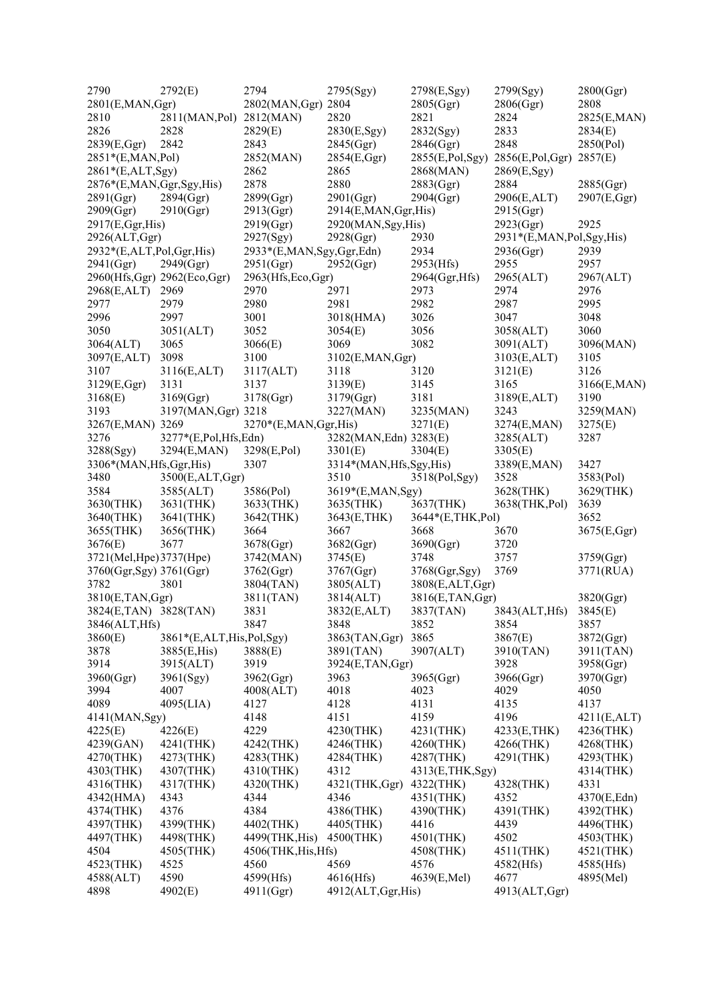| 2790                      | 2792(E)                     | 2794                     | 2795(Sgy)                 | 2798(E,Sgy)      | 2799(Sgy)                | 2800(Ggr)   |
|---------------------------|-----------------------------|--------------------------|---------------------------|------------------|--------------------------|-------------|
| 2801(E, MAN, Ggr)         |                             | 2802(MAN, Ggr) 2804      |                           | 2805(Ggr)        | 2806(Ggr)                | 2808        |
| 2810                      | 2811(MAN,Pol)               | 2812(MAN)                | 2820                      | 2821             | 2824                     | 2825(E,MAN) |
| 2826                      | 2828                        | 2829(E)                  | 2830(E,Sgy)               | 2832(Sgy)        | 2833                     | 2834(E)     |
| 2839(E,Ggr)               | 2842                        | 2843                     | 2845(Ggr)                 | 2846(Ggr)        | 2848                     | 2850(Pol)   |
| 2851*(E,MAN,Pol)          |                             | 2852(MAN)                | 2854(E,Ggr)               | 2855(E,Pol,Sgy)  | 2856(E,Pol,Ggr)          | 2857(E)     |
| 2861*(E,ALT,Sgy)          |                             | 2862                     | 2865                      | 2868(MAN)        | 2869(E, Sgy)             |             |
| 2876*(E,MAN,Ggr,Sgy,His)  |                             | 2878                     | 2880                      | 2883(Ggr)        | 2884                     | 2885(Ggr)   |
|                           | 2894(Ggr)                   | 2899(Ggr)                |                           | 2904(Ggr)        |                          |             |
| 2891(Ggr)                 |                             |                          | 2901(Ggr)                 |                  | 2906(E,ALT)              | 2907(E,Ggr) |
| 2909(Ggr)                 | 2910(Ggr)                   | 2913(Ggr)                | 2914(E,MAN,Ggr,His)       |                  | 2915(Ggr)                |             |
| 2917(E,Ggr,His)           |                             | 2919(Ggr)                | 2920(MAN, Sgy, His)       |                  | 2923(Ggr)                | 2925        |
| 2926(ALT,Ggr)             |                             | 2927(Sgy)                | 2928(Ggr)                 | 2930             | 2931*(E,MAN,Pol,Sgy,His) |             |
| 2932*(E,ALT,Pol,Ggr,His)  |                             | 2933*(E,MAN,Sgy,Ggr,Edn) |                           | 2934             | 2936(Ggr)                | 2939        |
| 2941(Ggr)                 | 2949(Ggr)                   | 2951(Ggr)                | 2952(Ggr)                 | 2953(Hfs)        | 2955                     | 2957        |
|                           | 2960(Hfs,Ggr) 2962(Eco,Ggr) | 2963(Hfs,Eco,Ggr)        |                           | 2964(Ggr, Hfs)   | 2965(ALT)                | 2967(ALT)   |
| 2968(E,ALT)               | 2969                        | 2970                     | 2971                      | 2973             | 2974                     | 2976        |
| 2977                      | 2979                        | 2980                     | 2981                      | 2982             | 2987                     | 2995        |
| 2996                      | 2997                        | 3001                     | 3018(HMA)                 | 3026             | 3047                     | 3048        |
| 3050                      | 3051(ALT)                   | 3052                     | 3054(E)                   | 3056             | 3058(ALT)                | 3060        |
| 3064(ALT)                 | 3065                        | 3066(E)                  | 3069                      | 3082             | 3091(ALT)                | 3096(MAN)   |
| 3097(E,ALT)               | 3098                        | 3100                     | 3102(E,MAN,Ggr)           |                  | 3103(E,ALT)              | 3105        |
| 3107                      | 3116(E,ALT)                 | 3117(ALT)                | 3118                      | 3120             | 3121(E)                  | 3126        |
| 3129(E,Ggr)               | 3131                        | 3137                     | 3139(E)                   | 3145             | 3165                     | 3166(E,MAN) |
| 3168(E)                   | 3169(Ggr)                   | 3178(Ggr)                | 3179(Ggr)                 | 3181             | 3189(E,ALT)              | 3190        |
| 3193                      | 3197(MAN, Ggr) 3218         |                          | 3227(MAN)                 | 3235(MAN)        | 3243                     | 3259(MAN)   |
| 3267(E,MAN) 3269          |                             | 3270*(E,MAN,Ggr,His)     |                           | 3271(E)          | 3274(E,MAN)              | 3275(E)     |
| 3276                      | 3277*(E,Pol,Hfs,Edn)        |                          | 3282(MAN, Edn) 3283(E)    |                  | 3285(ALT)                | 3287        |
| 3288(Sgy)                 | 3294(E,MAN)                 | 3298(E,Pol)              | 3301(E)                   | 3304(E)          | 3305(E)                  |             |
| 3306*(MAN, Hfs, Ggr, His) |                             | 3307                     | 3314*(MAN, Hfs, Sgy, His) |                  | 3389(E,MAN)              | 3427        |
| 3480                      | 3500(E,ALT,Ggr)             |                          | 3510                      | 3518(Pol,Sgy)    | 3528                     | 3583(Pol)   |
| 3584                      | 3585(ALT)                   | 3586(Pol)                | 3619*(E,MAN,Sgy)          |                  | 3628(THK)                | 3629(THK)   |
| 3630(THK)                 | 3631(THK)                   | 3633(THK)                | 3635(THK)                 | 3637(THK)        | 3638(THK,Pol)            | 3639        |
| 3640(THK)                 | 3641(THK)                   | 3642(THK)                | 3643(E,THK)               | 3644*(E,THK,Pol) |                          | 3652        |
|                           |                             |                          |                           |                  |                          |             |
| 3655(THK)                 | 3656(THK)                   | 3664                     | 3667                      | 3668             | 3670                     | 3675(E,Ggr) |
| 3676(E)                   | 3677                        | 3678(Ggr)                | 3682(Ggr)                 | 3690(Ggr)        | 3720                     |             |
| 3721(Mel, Hpe) 3737(Hpe)  |                             | 3742(MAN)                | 3745(E)                   | 3748             | 3757                     | 3759(Ggr)   |
| 3760(Ggr,Sgy) 3761(Ggr)   |                             | 3762(Ggr)                | 3767(Ggr)                 | 3768(Ggr,Sgy)    | 3769                     | 3771(RUA)   |
| 3782                      | 3801                        | 3804(TAN)                | 3805(ALT)                 | 3808(E,ALT,Ggr)  |                          |             |
| 3810(E,TAN,Ggr)           |                             | 3811(TAN)                | 3814(ALT)                 | 3816(E,TAN,Ggr)  |                          | 3820(Ggr)   |
| 3824(E,TAN) 3828(TAN)     |                             | 3831                     | 3832(E,ALT)               | 3837(TAN)        | 3843(ALT, Hfs)           | 3845(E)     |
| 3846(ALT, Hfs)            |                             | 3847                     | 3848                      | 3852             | 3854                     | 3857        |
| 3860(E)                   | 3861*(E,ALT,His,Pol,Sgy)    |                          | 3863(TAN,Ggr)             | 3865             | 3867(E)                  | 3872(Ggr)   |
| 3878                      | 3885(E,His)                 | 3888(E)                  | 3891(TAN)                 | 3907(ALT)        | 3910(TAN)                | 3911(TAN)   |
| 3914                      | 3915(ALT)                   | 3919                     | 3924(E,TAN,Ggr)           |                  | 3928                     | 3958(Ggr)   |
| 3960(Ggr)                 | 3961(Sgy)                   | 3962(Ggr)                | 3963                      | 3965(Ggr)        | 3966(Ggr)                | 3970(Ggr)   |
| 3994                      | 4007                        | 4008(ALT)                | 4018                      | 4023             | 4029                     | 4050        |
| 4089                      | 4095(LIA)                   | 4127                     | 4128                      | 4131             | 4135                     | 4137        |
| 4141(MAN, Sgy)            |                             | 4148                     | 4151                      | 4159             | 4196                     | 4211(E,ALT) |
| 4225(E)                   | 4226(E)                     | 4229                     | 4230(THK)                 | 4231(THK)        | 4233(E,THK)              | 4236(THK)   |
| 4239(GAN)                 | 4241(THK)                   | 4242(THK)                | 4246(THK)                 | 4260(THK)        | 4266(THK)                | 4268(THK)   |
| 4270(THK)                 | 4273(THK)                   | 4283(THK)                | 4284(THK)                 | 4287(THK)        | 4291(THK)                | 4293(THK)   |
| 4303(THK)                 | 4307(THK)                   | 4310(THK)                | 4312                      | 4313(E,THK,Sgy)  |                          | 4314(THK)   |
| 4316(THK)                 | 4317(THK)                   | 4320(THK)                | $4321$ (THK, Ggr)         | 4322(THK)        | 4328(THK)                | 4331        |
| 4342(HMA)                 | 4343                        | 4344                     | 4346                      | 4351(THK)        | 4352                     | 4370(E,Edn) |
| 4374(THK)                 | 4376                        | 4384                     | 4386(THK)                 | 4390(THK)        | 4391(THK)                | 4392(THK)   |
|                           | 4399(THK)                   | 4402(THK)                | 4405(THK)                 | 4416             | 4439                     | 4496(THK)   |
| 4397(THK)                 |                             |                          |                           |                  |                          |             |
| 4497(THK)                 | 4498(THK)                   | 4499(THK, His)           | 4500(THK)                 | 4501(THK)        | 4502                     | 4503(THK)   |
| 4504                      | 4505(THK)                   | 4506(THK, His, Hfs)      |                           | 4508(THK)        | 4511(THK)                | 4521(THK)   |
| 4523(THK)                 | 4525                        | 4560                     | 4569                      | 4576             | 4582(Hfs)                | 4585(Hfs)   |
| 4588(ALT)                 | 4590                        | 4599(Hfs)                | 4616(Hfs)                 | 4639(E,Mel)      | 4677                     | 4895(Mel)   |
| 4898                      | 4902(E)                     | 4911(Ggr)                | 4912(ALT, Ggr, His)       |                  | 4913(ALT, Ggr)           |             |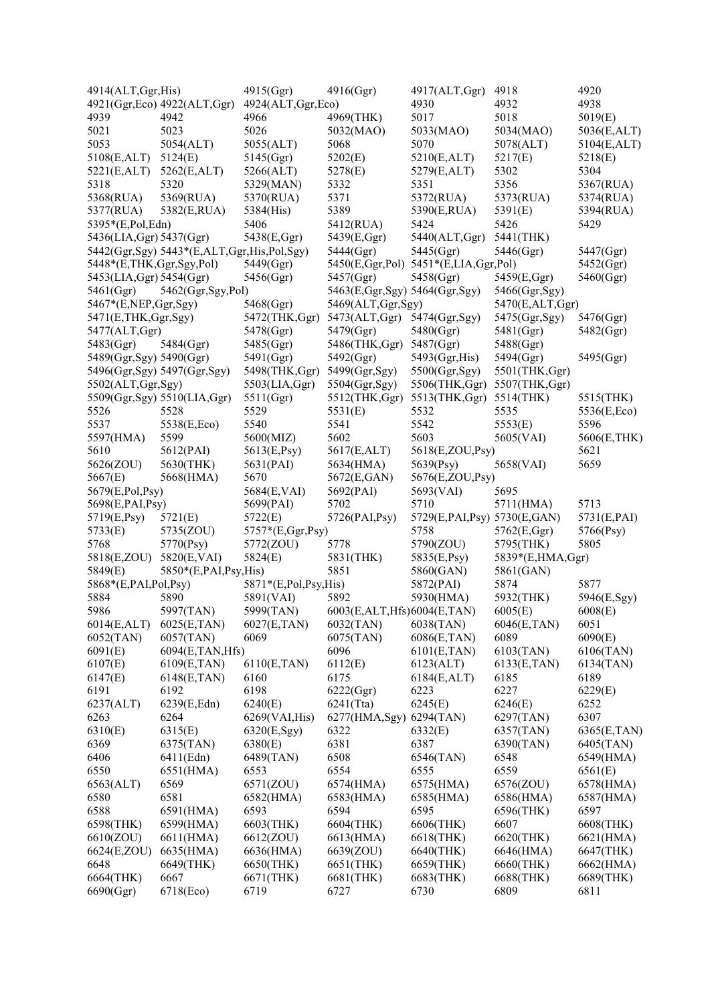| 4914(ALT, Ggr, His)      |                                            | 4915(Ggr)                   | 4916(Ggr)                      | 4917(ALT,Ggr)                        | 4918             | 4920         |
|--------------------------|--------------------------------------------|-----------------------------|--------------------------------|--------------------------------------|------------------|--------------|
|                          | 4921(Ggr, Eco) 4922(ALT, Ggr)              | 4924(ALT, Ggr, Eco)         |                                | 4930                                 | 4932             | 4938         |
| 4939                     | 4942                                       | 4966                        | 4969(THK)                      | 5017                                 | 5018             | 5019(E)      |
| 5021                     | 5023                                       | 5026                        | 5032(MAO)                      | 5033(MAO)                            | 5034(MAO)        | 5036(E,ALT)  |
| 5053                     | 5054(ALT)                                  | 5055(ALT)                   | 5068                           | 5070                                 | 5078(ALT)        | 5104(E,ALT)  |
| 5108(E,ALT)              | 5124(E)                                    | 5145(Ggr)                   | 5202(E)                        | 5210(E,ALT)                          | 5217(E)          | 5218(E)      |
| 5221(E,ALT)              | 5262(E,ALT)                                | 5266(ALT)                   | 5278(E)                        | 5279(E,ALT)                          | 5302             | 5304         |
| 5318                     | 5320                                       | 5329(MAN)                   | 5332                           | 5351                                 | 5356             | 5367(RUA)    |
| 5368(RUA)                | 5369(RUA)                                  | 5370(RUA)                   | 5371                           | 5372(RUA)                            | 5373(RUA)        | 5374(RUA)    |
| 5377(RUA)                | 5382(E,RUA)                                | 5384(His)                   | 5389                           | 5390(E,RUA)                          | 5391(E)          | 5394(RUA)    |
| 5395*(E,Pol,Edn)         |                                            | 5406                        | 5412(RUA)                      | 5424                                 | 5426             | 5429         |
| 5436(LIA, Ggr) 5437(Ggr) |                                            | 5438(E,Ggr)                 | 5439(E,Ggr)                    | 5440(ALT,Ggr)                        | 5441(THK)        |              |
|                          | 5442(Ggr,Sgy) 5443*(E,ALT,Ggr,His,Pol,Sgy) |                             | 5444(Ggr)                      | 5445(Ggr)                            | 5446(Ggr)        | 5447(Ggr)    |
| 5448*(E,THK,Ggr,Sgy,Pol) |                                            | 5449(Ggr)                   |                                | 5450(E,Ggr,Pol) 5451*(E,LIA,Ggr,Pol) |                  | 5452(Ggr)    |
| 5453(LIA, Ggr) 5454(Ggr) |                                            | 5456(Ggr)                   | 5457(Ggr)                      | 5458(Ggr)                            | 5459(E,Ggr)      | 5460(Ggr)    |
| 5461(Ggr)                | 5462(Ggr, Sgy, Pol)                        |                             | 5463(E,Ggr,Sgy) 5464(Ggr,Sgy)  |                                      | 5466(Ggr,Sgy)    |              |
| 5467*(E,NEP,Ggr,Sgy)     |                                            | 5468(Ggr)                   | 5469(ALT, Ggr, Sgy)            |                                      | 5470(E,ALT,Ggr)  |              |
| 5471(E,THK,Ggr,Sgy)      |                                            | 5472(THK,Ggr)               | 5473(ALT,Ggr)                  | 5474(Ggr, Sgy)                       | 5475(Ggr,Sgy)    | 5476(Ggr)    |
| 5477(ALT,Ggr)            |                                            | 5478(Ggr)                   | 5479(Ggr)                      | 5480(Ggr)                            | 5481(Ggr)        | 5482(Ggr)    |
| 5483(Ggr)                | 5484(Ggr)                                  | 5485(Ggr)                   | 5486(THK, Ggr)                 | 5487(Ggr)                            | 5488(Ggr)        |              |
| 5489(Ggr,Sgy) 5490(Ggr)  |                                            | 5491(Ggr)                   | 5492(Ggr)                      | 5493(Ggr,His)                        | 5494(Ggr)        | 5495(Ggr)    |
|                          | 5496(Ggr,Sgy) 5497(Ggr,Sgy)                | 5498(THK, Ggr)              | 5499(Ggr, Sgy)                 | 5500(Ggr,Sgy)                        | 5501(THK,Ggr)    |              |
| 5502(ALT, Ggr, Sgy)      |                                            | 5503(LIA, Ggr)              | 5504(Ggr,Sgy)                  | 5506(THK,Ggr)                        | 5507(THK,Ggr)    |              |
|                          | 5509(Ggr,Sgy) 5510(LIA,Ggr)                | 5511(Ggr)                   | 5512(THK,Ggr)                  | 5513(THK,Ggr)                        | 5514(THK)        | 5515(THK)    |
| 5526                     | 5528                                       | 5529                        | 5531(E)                        | 5532                                 | 5535             | 5536(E,Eco)  |
| 5537                     | 5538(E,Eco)                                | 5540                        | 5541                           | 5542                                 | 5553(E)          | 5596         |
| 5597(HMA)                | 5599                                       | 5600(MIZ)                   | 5602                           | 5603                                 | 5605(VAI)        | 5606(E,THK)  |
| 5610                     | 5612(PAI)                                  | 5613(E,Psy)                 | 5617(E,ALT)                    | 5618(E,ZOU,Psy)                      |                  | 5621         |
| 5626(ZOU)                | 5630(THK)                                  | 5631(PAI)                   | 5634(HMA)                      | 5639(Psy)                            | 5658(VAI)        | 5659         |
| 5667(E)                  | 5668(HMA)                                  | 5670                        | 5672(E,GAN)                    | 5676(E,ZOU,Psy)                      |                  |              |
| 5679(E,Pol,Psy)          |                                            |                             | 5692(PAI)                      |                                      | 5695             |              |
|                          |                                            | 5684(E,VAI)<br>5699(PAI)    | 5702                           | 5693(VAI)<br>5710                    | 5711(HMA)        | 5713         |
| 5698(E,PAI,Psy)          |                                            | 5722(E)                     |                                |                                      |                  | 5731(E,PAI)  |
| 5719(E,Psy)              | 5721(E)                                    |                             | 5726(PAI,Psy)                  | 5729(E,PAI,Psy) 5730(E,GAN)<br>5758  | 5762(E,Ggr)      |              |
| 5733(E)<br>5768          | 5735(ZOU)                                  | 5757*(E,Ggr,Psy)            | 5778                           |                                      |                  | 5766(Psy)    |
|                          | 5770(Psy)                                  | 5772(ZOU)                   |                                | 5790(ZOU)                            | 5795(THK)        | 5805         |
| 5818(E,ZOU)              | 5820(E,VAI)                                | 5824(E)                     | 5831(THK)                      | 5835(E,Psy)                          | 5839*(E,HMA,Ggr) |              |
| 5849(E)                  | $5850*(E, PAI, Psy, His)$                  |                             | 5851                           | 5860(GAN)                            | 5861(GAN)        |              |
| 5868*(E,PAI,Pol,Psy)     |                                            | $5871*(E, Pol, Psych, His)$ |                                | 5872(PAI)                            | 5874             | 5877         |
| 5884                     | 5890                                       | 5891(VAI)                   | 5892                           | 5930(HMA)                            | 5932(THK)        | 5946(E,Sgy)  |
| 5986                     | 5997(TAN)                                  | 5999(TAN)                   | 6003(E, ALT, Hfs) 6004(E, TAN) |                                      | 6005(E)          | 6008(E)      |
| 6014(E,ALT)              | 6025(E,TAN)                                | 6027(E,TAN)                 | 6032(TAN)                      | 6038(TAN)                            | 6046(E,TAN)      | 6051         |
| 6052(TAN)                | 6057(TAN)                                  | 6069                        | 6075(TAN)                      | 6086(E,TAN)                          | 6089             | 6090(E)      |
| 6091(E)                  | 6094(E,TAN,Hfs)                            |                             | 6096                           | 6101(E, TAN)                         | 6103(TAN)        | 6106(TAN)    |
| 6107(E)                  | 6109(E, TAN)                               | 6110(E, TAN)                | 6112(E)                        | 6123(ALT)                            | 6133(E,TAN)      | 6134(TAN)    |
| 6147(E)                  | 6148(E, TAN)                               | 6160                        | 6175                           | 6184(E,ALT)                          | 6185             | 6189         |
| 6191                     | 6192                                       | 6198                        | 6222(Ggr)                      | 6223                                 | 6227             | 6229(E)      |
| 6237(ALT)                | 6239(E,Edn)                                | 6240(E)                     | $6241$ (Tta)                   | 6245(E)                              | 6246(E)          | 6252         |
| 6263                     | 6264                                       | 6269(VAI, His)              | 6277(HMA, Sgy)                 | 6294(TAN)                            | 6297(TAN)        | 6307         |
| 6310(E)                  | 6315(E)                                    | 6320(E,Sgy)                 | 6322                           | 6332(E)                              | 6357(TAN)        | 6365(E, TAN) |
| 6369                     | 6375(TAN)                                  | 6380(E)                     | 6381                           | 6387                                 | 6390(TAN)        | 6405(TAN)    |
| 6406                     | 6411(Edn)                                  | 6489(TAN)                   | 6508                           | 6546(TAN)                            | 6548             | 6549(HMA)    |
| 6550                     | 6551(HMA)                                  | 6553                        | 6554                           | 6555                                 | 6559             | 6561(E)      |
| 6563(ALT)                | 6569                                       | 6571(ZOU)                   | 6574(HMA)                      | 6575(HMA)                            | 6576(ZOU)        | 6578(HMA)    |
| 6580                     | 6581                                       | 6582(HMA)                   | 6583(HMA)                      | 6585(HMA)                            | 6586(HMA)        | 6587(HMA)    |
| 6588                     | 6591(HMA)                                  | 6593                        | 6594                           | 6595                                 | 6596(THK)        | 6597         |
| 6598(THK)                | 6599(HMA)                                  | 6603(THK)                   | 6604(THK)                      | 6606(THK)                            | 6607             | 6608(THK)    |
| 6610(ZOU)                | 6611(HMA)                                  | 6612(ZOU)                   | 6613(HMA)                      | 6618(THK)                            | 6620(THK)        | 6621(HMA)    |
| 6624(E,ZOU)              | 6635(HMA)                                  | 6636(HMA)                   | 6639(ZOU)                      | 6640(THK)                            | 6646(HMA)        | 6647(THK)    |
| 6648                     | 6649(THK)                                  | 6650(THK)                   | 6651(THK)                      | 6659(THK)                            | 6660(THK)        | 6662(HMA)    |
| 6664(THK)                | 6667                                       | 6671(THK)                   | 6681(THK)                      | 6683(THK)                            | 6688(THK)        | 6689(THK)    |
| 6690(Ggr)                | 6718(Eco)                                  | 6719                        | 6727                           | 6730                                 | 6809             | 6811         |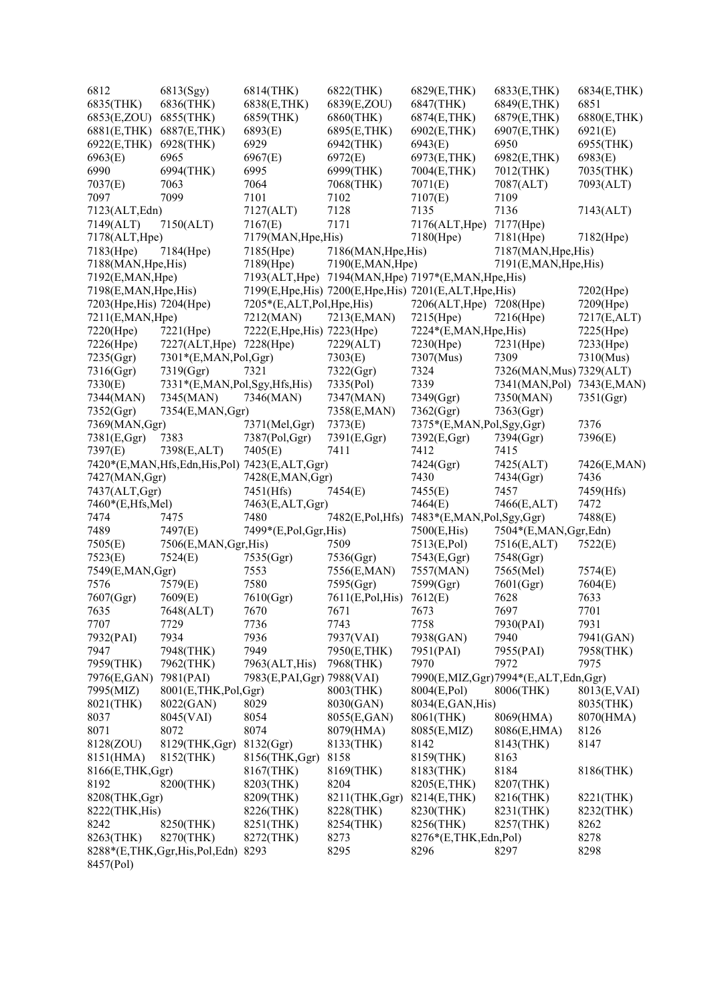| 6812                     | 6813(Sgy)                                          | 6814(THK)                   | 6822(THK)           | 6829(E,THK)                                                | 6833(E, THK)                        | 6834(E,THK)  |
|--------------------------|----------------------------------------------------|-----------------------------|---------------------|------------------------------------------------------------|-------------------------------------|--------------|
| 6835(THK)                | 6836(THK)                                          | 6838(E, THK)                | 6839(E,ZOU)         | 6847(THK)                                                  | 6849(E,THK)                         | 6851         |
| 6853(E,ZOU)              | 6855(THK)                                          | 6859(THK)                   | 6860(THK)           | 6874(E,THK)                                                | 6879(E,THK)                         | 6880(E,THK)  |
| 6881(E, THK)             | 6887(E,THK)                                        | 6893(E)                     | 6895(E, THK)        | 6902(E,THK)                                                | 6907(E,THK)                         | 6921(E)      |
| 6922(E,THK)              | 6928(THK)                                          | 6929                        | 6942(THK)           | 6943(E)                                                    | 6950                                | 6955(THK)    |
| 6963(E)                  | 6965                                               | 6967(E)                     | 6972(E)             | 6973(E,THK)                                                | 6982(E,THK)                         | 6983(E)      |
| 6990                     | 6994(THK)                                          | 6995                        | 6999(THK)           | 7004(E,THK)                                                | 7012(THK)                           | 7035(THK)    |
| 7037(E)                  | 7063                                               | 7064                        | 7068(THK)           | 7071(E)                                                    | 7087(ALT)                           | 7093(ALT)    |
| 7097                     | 7099                                               | 7101                        | 7102                | 7107(E)                                                    | 7109                                |              |
| 7123(ALT, Edn)           |                                                    | 7127(ALT)                   | 7128                | 7135                                                       | 7136                                | 7143(ALT)    |
| 7149(ALT)                | 7150(ALT)                                          | 7167(E)                     | 7171                | 7176(ALT, Hpe)                                             | 7177(Hpe)                           |              |
| 7178(ALT, Hpe)           |                                                    | 7179(MAN, Hpe, His)         |                     | 7180(Hpe)                                                  | 7181(Hpe)                           | 7182(Hpe)    |
| 7183(Hpe)                | 7184(Hpe)                                          | 7185(Hpe)                   | 7186(MAN, Hpe, His) |                                                            | 7187(MAN, Hpe, His)                 |              |
| 7188(MAN, Hpe, His)      |                                                    | 7189(Hpe)                   | 7190(E,MAN,Hpe)     |                                                            | 7191(E,MAN, Hpe, His)               |              |
| 7192(E,MAN, Hpe)         |                                                    |                             |                     | 7193(ALT, Hpe) 7194(MAN, Hpe) 7197*(E, MAN, Hpe, His)      |                                     |              |
| 7198(E,MAN, Hpe, His)    |                                                    |                             |                     | 7199(E, Hpe, His) 7200(E, Hpe, His) 7201(E, ALT, Hpe, His) |                                     | 7202(Hpe)    |
| 7203(Hpe, His) 7204(Hpe) |                                                    | 7205*(E,ALT,Pol,Hpe,His)    |                     | 7206(ALT, Hpe) 7208(Hpe)                                   |                                     | 7209(Hpe)    |
| 7211(E,MAN,Hpe)          |                                                    | 7212(MAN)                   | 7213(E,MAN)         | 7215(Hpe)                                                  | 7216(Hpe)                           | 7217(E,ALT)  |
| 7220(Hpe)                | 7221(Hpe)                                          | 7222(E, Hpe, His) 7223(Hpe) |                     | 7224*(E,MAN, Hpe, His)                                     |                                     | 7225(Hpe)    |
| 7226(Hpe)                | 7227(ALT, Hpe)                                     | 7228(Hpe)                   | 7229(ALT)           | 7230(Hpe)                                                  | $7231$ (Hpe)                        | 7233(Hpe)    |
| 7235(Ggr)                | 7301*(E,MAN,Pol,Ggr)                               |                             | 7303(E)             | 7307(Mus)                                                  | 7309                                | 7310(Mus)    |
| 7316(Ggr)                | 7319(Ggr)                                          | 7321                        | 7322(Ggr)           | 7324                                                       | 7326(MAN, Mus) 7329(ALT)            |              |
| 7330(E)                  | 7331*(E,MAN,Pol,Sgy,Hfs,His)                       |                             | 7335(Pol)           | 7339                                                       | 7341(MAN, Pol)                      | 7343(E,MAN)  |
| 7344(MAN)                | 7345(MAN)                                          | 7346(MAN)                   | 7347(MAN)           | 7349(Ggr)                                                  | 7350(MAN)                           | 7351(Ggr)    |
| 7352(Ggr)                | 7354(E,MAN,Ggr)                                    |                             | 7358(E,MAN)         | 7362(Ggr)                                                  | 7363(Ggr)                           |              |
| 7369(MAN, Ggr)           |                                                    | 7371(Mel,Ggr)               | 7373(E)             | 7375*(E,MAN,Pol,Sgy,Ggr)                                   |                                     | 7376         |
| 7381(E,Ggr)              | 7383                                               | 7387(Pol,Ggr)               | 7391(E,Ggr)         | 7392(E,Ggr)                                                | 7394(Ggr)                           | 7396(E)      |
| 7397(E)                  | 7398(E,ALT)                                        | 7405(E)                     | 7411                | 7412                                                       | 7415                                |              |
|                          | 7420*(E,MAN, Hfs, Edn, His, Pol) 7423(E, ALT, Ggr) |                             |                     | 7424(Ggr)                                                  | 7425(ALT)                           | 7426(E,MAN)  |
| 7427(MAN, Ggr)           |                                                    | 7428(E,MAN,Ggr)             |                     | 7430                                                       | 7434(Ggr)                           | 7436         |
| 7437(ALT,Ggr)            |                                                    | 7451(Hfs)                   | 7454(E)             | 7455(E)                                                    | 7457                                | 7459(Hfs)    |
| 7460*(E,Hfs,Mel)         |                                                    | 7463(E,ALT,Ggr)             |                     | 7464(E)                                                    | 7466(E,ALT)                         | 7472         |
| 7474                     | 7475                                               | 7480                        | 7482(E,Pol,Hfs)     | 7483*(E,MAN,Pol,Sgy,Ggr)                                   |                                     | 7488(E)      |
| 7489                     | 7497(E)                                            | 7499*(E,Pol,Ggr,His)        |                     | 7500(E,His)                                                | 7504*(E,MAN,Ggr,Edn)                |              |
| 7505(E)                  | 7506(E,MAN,Ggr,His)                                |                             | 7509                | 7513(E,Pol)                                                | 7516(E,ALT)                         | 7522(E)      |
| 7523(E)                  | 7524(E)                                            | 7535(Ggr)                   | 7536(Ggr)           | 7543(E,Ggr)                                                | 7548(Ggr)                           |              |
| 7549(E,MAN,Ggr)          |                                                    | 7553                        | 7556(E,MAN)         | 7557(MAN)                                                  | 7565(Mel)                           | 7574(E)      |
| 7576                     | 7579(E)                                            | 7580                        | 7595(Ggr)           | 7599(Ggr)                                                  | 7601(Ggr)                           | 7604(E)      |
| 7607(Ggr)                | 7609(E)                                            | 7610(Ggr)                   | 7611(E,Pol,His)     | 7612(E)                                                    | 7628                                | 7633         |
| 7635                     | 7648(ALT)                                          | 7670                        | 7671                | 7673                                                       | 7697                                | 7701         |
| 7707                     | 7729                                               | 7736                        | 7743                | 7758                                                       | 7930(PAI)                           | 7931         |
| 7932(PAI)                | 7934                                               | 7936                        | 7937(VAI)           | 7938(GAN)                                                  | 7940                                | 7941(GAN)    |
| 7947                     | 7948(THK)                                          | 7949                        | 7950(E, THK)        | 7951(PAI)                                                  | 7955(PAI)                           | 7958(THK)    |
| 7959(THK)                | 7962(THK)                                          | 7963(ALT, His)              | 7968(THK)           | 7970                                                       | 7972                                | 7975         |
| 7976(E,GAN)              | 7981(PAI)                                          | 7983(E, PAI, Ggr) 7988(VAI) |                     |                                                            | 7990(E,MIZ,Ggr)7994*(E,ALT,Edn,Ggr) |              |
| 7995(MIZ)                | 8001(E,THK,Pol,Ggr)                                |                             | 8003(THK)           | 8004(E,Pol)                                                | 8006(THK)                           | 8013(E, VAI) |
| 8021(THK)                | 8022(GAN)                                          | 8029                        | 8030(GAN)           | 8034(E,GAN, His)                                           |                                     | 8035(THK)    |
| 8037                     | 8045(VAI)                                          | 8054                        | 8055(E,GAN)         | 8061(THK)                                                  | 8069(HMA)                           | 8070(HMA)    |
| 8071                     | 8072                                               | 8074                        | 8079(HMA)           | 8085(E,MIZ)                                                | 8086(E,HMA)                         | 8126         |
| 8128(ZOU)                | 8129(THK,Ggr)                                      | 8132(Ggr)                   | 8133(THK)           | 8142                                                       | 8143(THK)                           | 8147         |
| 8151(HMA)                | 8152(THK)                                          | 8156(THK,Ggr)               | 8158                | 8159(THK)                                                  | 8163                                |              |
| 8166(E,THK,Ggr)          |                                                    | 8167(THK)                   | 8169(THK)           | 8183(THK)                                                  | 8184                                | 8186(THK)    |
| 8192                     | 8200(THK)                                          | 8203(THK)                   | 8204                | 8205(E,THK)                                                | 8207(THK)                           |              |
| 8208(THK,Ggr)            |                                                    | 8209(THK)                   | 8211(THK, Ggr)      | 8214(E,THK)                                                | 8216(THK)                           | 8221(THK)    |
| 8222(THK, His)           |                                                    | 8226(THK)                   | 8228(THK)           | 8230(THK)                                                  | 8231(THK)                           | 8232(THK)    |
| 8242                     | 8250(THK)                                          | 8251(THK)                   | 8254(THK)           | 8256(THK)                                                  | 8257(THK)                           | 8262         |
| 8263(THK)                | 8270(THK)                                          | 8272(THK)                   | 8273                | 8276*(E,THK,Edn,Pol)                                       |                                     | 8278         |
|                          | 8288*(E,THK,Ggr,His,Pol,Edn) 8293                  |                             | 8295                | 8296                                                       | 8297                                | 8298         |
| 8457(Pol)                |                                                    |                             |                     |                                                            |                                     |              |
|                          |                                                    |                             |                     |                                                            |                                     |              |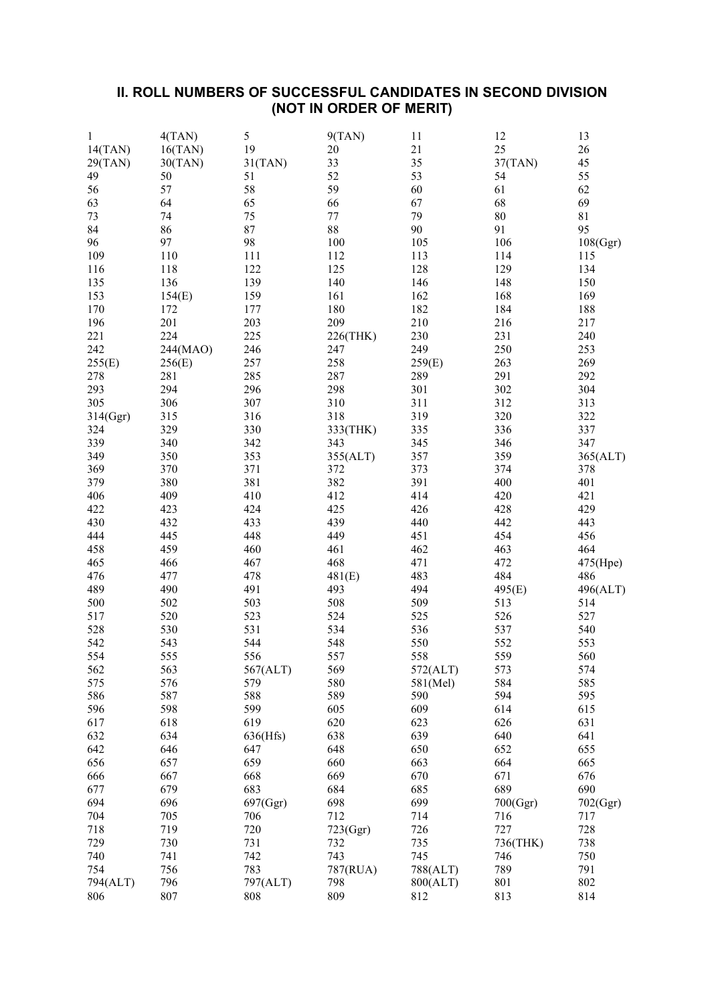## **II. ROLL NUMBERS OF SUCCESSFUL CANDIDATES IN SECOND DIVISION (NOT IN ORDER OF MERIT)**

| 1        | 4(TAN)   | 5        | 9(TAN)   | 11       | 12       | 13       |
|----------|----------|----------|----------|----------|----------|----------|
| 14(TAN)  | 16(TAN)  | 19       | 20       | 21       | 25       | 26       |
| 29(TAN)  | 30(TAN)  | 31(TAN)  | 33       | 35       | 37(TAN)  | 45       |
| 49       | 50       | 51       | 52       | 53       | 54       | 55       |
| 56       | 57       | 58       | 59       | 60       | 61       | 62       |
| 63       | 64       | 65       | 66       | 67       | 68       | 69       |
| 73       | 74       | 75       | $77 \,$  | 79       | 80       | 81       |
| 84       | 86       | 87       | 88       | 90       | 91       | 95       |
| 96       | 97       | 98       | $100\,$  | 105      | 106      | 108(Ggr) |
| 109      | 110      | 111      | 112      | 113      | 114      | 115      |
| 116      | 118      | 122      | 125      | 128      | 129      | 134      |
| 135      | 136      | 139      | 140      | 146      | 148      | 150      |
| 153      | 154(E)   | 159      | 161      | 162      | 168      | 169      |
| 170      | 172      | 177      | 180      | 182      | 184      | 188      |
| 196      | 201      | 203      | 209      | 210      | 216      | 217      |
| 221      | 224      | 225      | 226(THK) | 230      | 231      | 240      |
| 242      | 244(MAO) | 246      | 247      | 249      | 250      | 253      |
| 255(E)   | 256(E)   | 257      | 258      | 259(E)   | 263      | 269      |
| 278      | 281      | 285      | 287      | 289      | 291      | 292      |
| 293      | 294      | 296      | 298      | 301      | 302      | 304      |
| 305      | 306      | 307      | 310      | 311      | 312      | 313      |
| 314(Ggr) | 315      | 316      | 318      | 319      | 320      | 322      |
| 324      | 329      | 330      | 333(THK) | 335      | 336      | 337      |
| 339      | 340      | 342      | 343      | 345      | 346      | 347      |
| 349      | 350      | 353      | 355(ALT) | 357      | 359      | 365(ALT) |
| 369      | 370      | 371      | 372      | 373      | 374      | 378      |
| 379      | 380      | 381      | 382      | 391      | 400      | 401      |
| 406      | 409      | 410      | 412      | 414      | 420      | 421      |
|          |          |          |          |          |          |          |
| 422      | 423      | 424      | 425      | 426      | 428      | 429      |
| 430      | 432      | 433      | 439      | 440      | 442      | 443      |
| 444      | 445      | 448      | 449      | 451      | 454      | 456      |
| 458      | 459      | 460      | 461      | 462      | 463      | 464      |
| 465      | 466      | 467      | 468      | 471      | 472      | 475(Hpe) |
| 476      | 477      | 478      | 481(E)   | 483      | 484      | 486      |
| 489      | 490      | 491      | 493      | 494      | 495(E)   | 496(ALT) |
| 500      | 502      | 503      | 508      | 509      | 513      | 514      |
| 517      | 520      | 523      | 524      | 525      | 526      | 527      |
| 528      | 530      | 531      | 534      | 536      | 537      | 540      |
| 542      | 543      | 544      | 548      | 550      | 552      | 553      |
| 554      | 555      | 556      | 557      | 558      | 559      | 560      |
| 562      | 563      | 567(ALT) | 569      | 572(ALT) | 573      | 574      |
| 575      | 576      | 579      | 580      | 581(Mel) | 584      | 585      |
| 586      | 587      | 588      | 589      | 590      | 594      | 595      |
| 596      | 598      | 599      | 605      | 609      | 614      | 615      |
| 617      | 618      | 619      | 620      | 623      | 626      | 631      |
| 632      | 634      | 636(Hfs) | 638      | 639      | 640      | 641      |
| 642      | 646      | 647      | 648      | 650      | 652      | 655      |
| 656      | 657      | 659      | 660      | 663      | 664      | 665      |
| 666      | 667      | 668      | 669      | 670      | 671      | 676      |
| 677      | 679      | 683      | 684      | 685      | 689      | 690      |
| 694      | 696      | 697(Ggr) | 698      | 699      | 700(Ggr) | 702(Ggr) |
| 704      | 705      | 706      | 712      | 714      | 716      | 717      |
| 718      | 719      | 720      | 723(Ggr) | 726      | 727      | 728      |
| 729      | 730      | 731      | 732      | 735      | 736(THK) | 738      |
| 740      | 741      | 742      | 743      | 745      | 746      | 750      |
| 754      | 756      | 783      | 787(RUA) | 788(ALT) | 789      | 791      |
| 794(ALT) | 796      | 797(ALT) | 798      | 800(ALT) | 801      | 802      |
| 806      | 807      | 808      | 809      | 812      | 813      | 814      |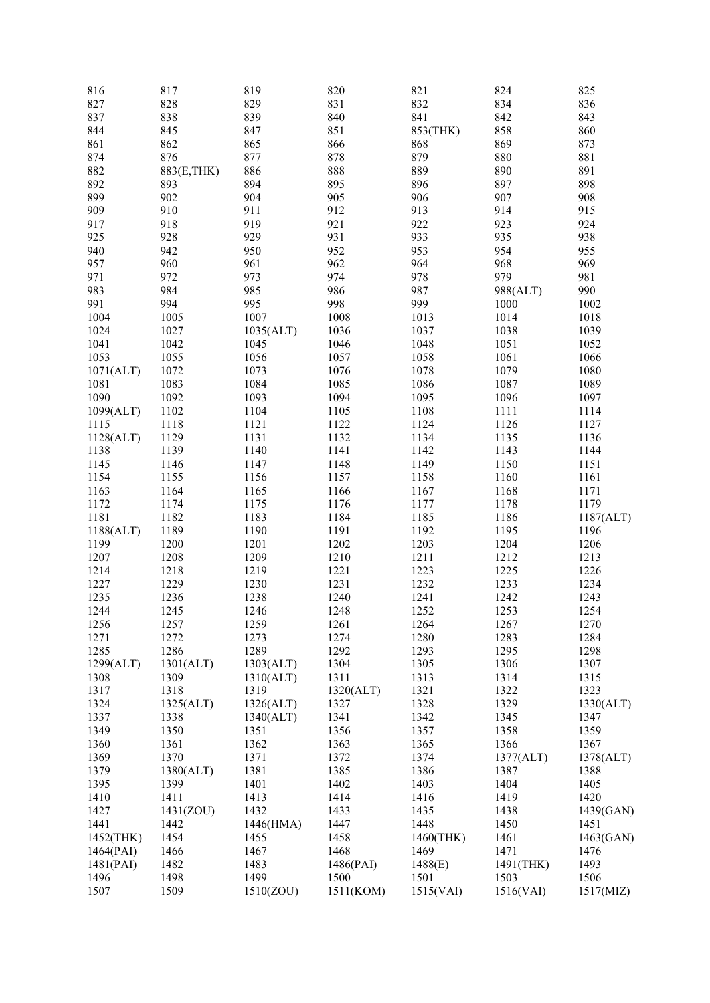| 816       | 817         | 819       | 820       | 821       | 824       | 825       |
|-----------|-------------|-----------|-----------|-----------|-----------|-----------|
| 827       | 828         | 829       | 831       | 832       | 834       | 836       |
| 837       | 838         | 839       | 840       | 841       | 842       | 843       |
| 844       | 845         | 847       | 851       | 853(THK)  | 858       | 860       |
| 861       | 862         | 865       | 866       | 868       | 869       | 873       |
| 874       | 876         | 877       | 878       | 879       | 880       | 881       |
| 882       | 883(E, THK) | 886       | 888       | 889       | 890       | 891       |
| 892       | 893         | 894       | 895       | 896       | 897       | 898       |
| 899       | 902         | 904       | 905       | 906       | 907       | 908       |
| 909       | 910         | 911       | 912       | 913       | 914       | 915       |
| 917       | 918         | 919       | 921       | 922       | 923       | 924       |
|           |             |           |           |           |           |           |
| 925       | 928         | 929       | 931       | 933       | 935       | 938       |
| 940       | 942         | 950       | 952       | 953       | 954       | 955       |
| 957       | 960         | 961       | 962       | 964       | 968       | 969       |
| 971       | 972         | 973       | 974       | 978       | 979       | 981       |
| 983       | 984         | 985       | 986       | 987       | 988(ALT)  | 990       |
| 991       | 994         | 995       | 998       | 999       | 1000      | 1002      |
| 1004      | 1005        | 1007      | 1008      | 1013      | 1014      | 1018      |
| 1024      | 1027        | 1035(ALT) | 1036      | 1037      | 1038      | 1039      |
| 1041      | 1042        | 1045      | 1046      | 1048      | 1051      | 1052      |
| 1053      | 1055        | 1056      | 1057      | 1058      | 1061      | 1066      |
| 1071(ALT) | 1072        | 1073      | 1076      | 1078      | 1079      | 1080      |
| 1081      | 1083        | 1084      | 1085      | 1086      | 1087      | 1089      |
| 1090      | 1092        | 1093      | 1094      | 1095      | 1096      | 1097      |
| 1099(ALT) | 1102        | 1104      | 1105      | 1108      | 1111      | 1114      |
| 1115      | 1118        | 1121      | 1122      | 1124      | 1126      | 1127      |
| 1128(ALT) | 1129        | 1131      | 1132      | 1134      | 1135      | 1136      |
| 1138      | 1139        | 1140      | 1141      | 1142      | 1143      | 1144      |
| 1145      | 1146        | 1147      | 1148      | 1149      | 1150      | 1151      |
| 1154      | 1155        | 1156      | 1157      | 1158      | 1160      | 1161      |
| 1163      | 1164        | 1165      | 1166      | 1167      | 1168      | 1171      |
| 1172      | 1174        | 1175      | 1176      | 1177      | 1178      | 1179      |
| 1181      | 1182        | 1183      | 1184      | 1185      | 1186      | 1187(ALT) |
| 1188(ALT) | 1189        | 1190      | 1191      | 1192      | 1195      | 1196      |
| 1199      | 1200        | 1201      | 1202      | 1203      | 1204      | 1206      |
| 1207      |             |           |           |           | 1212      |           |
|           | 1208        | 1209      | 1210      | 1211      |           | 1213      |
| 1214      | 1218        | 1219      | 1221      | 1223      | 1225      | 1226      |
| 1227      | 1229        | 1230      | 1231      | 1232      | 1233      | 1234      |
| 1235      | 1236        | 1238      | 1240      | 1241      | 1242      | 1243      |
| 1244      | 1245        | 1246      | 1248      | 1252      | 1253      | 1254      |
| 1256      | 1257        | 1259      | 1261      | 1264      | 1267      | 1270      |
| 1271      | 1272        | 1273      | 1274      | 1280      | 1283      | 1284      |
| 1285      | 1286        | 1289      | 1292      | 1293      | 1295      | 1298      |
| 1299(ALT) | 1301(ALT)   | 1303(ALT) | 1304      | 1305      | 1306      | 1307      |
| 1308      | 1309        | 1310(ALT) | 1311      | 1313      | 1314      | 1315      |
| 1317      | 1318        | 1319      | 1320(ALT) | 1321      | 1322      | 1323      |
| 1324      | 1325(ALT)   | 1326(ALT) | 1327      | 1328      | 1329      | 1330(ALT) |
| 1337      | 1338        | 1340(ALT) | 1341      | 1342      | 1345      | 1347      |
| 1349      | 1350        | 1351      | 1356      | 1357      | 1358      | 1359      |
| 1360      | 1361        | 1362      | 1363      | 1365      | 1366      | 1367      |
| 1369      | 1370        | 1371      | 1372      | 1374      | 1377(ALT) | 1378(ALT) |
| 1379      | 1380(ALT)   | 1381      | 1385      | 1386      | 1387      | 1388      |
| 1395      | 1399        | 1401      | 1402      | 1403      | 1404      | 1405      |
| 1410      | 1411        | 1413      | 1414      | 1416      | 1419      | 1420      |
| 1427      | 1431(ZOU)   | 1432      | 1433      | 1435      | 1438      | 1439(GAN) |
| 1441      | 1442        | 1446(HMA) | 1447      | 1448      | 1450      | 1451      |
| 1452(THK) | 1454        | 1455      | 1458      | 1460(THK) | 1461      | 1463(GAN) |
| 1464(PAI) | 1466        | 1467      | 1468      | 1469      | 1471      | 1476      |
| 1481(PAI) | 1482        | 1483      | 1486(PAI) | 1488(E)   | 1491(THK) | 1493      |
|           |             |           |           |           |           |           |
| 1496      | 1498        | 1499      | 1500      | 1501      | 1503      | 1506      |
| 1507      | 1509        | 1510(ZOU) | 1511(KOM) | 1515(VAI) | 1516(VAI) | 1517(MIZ) |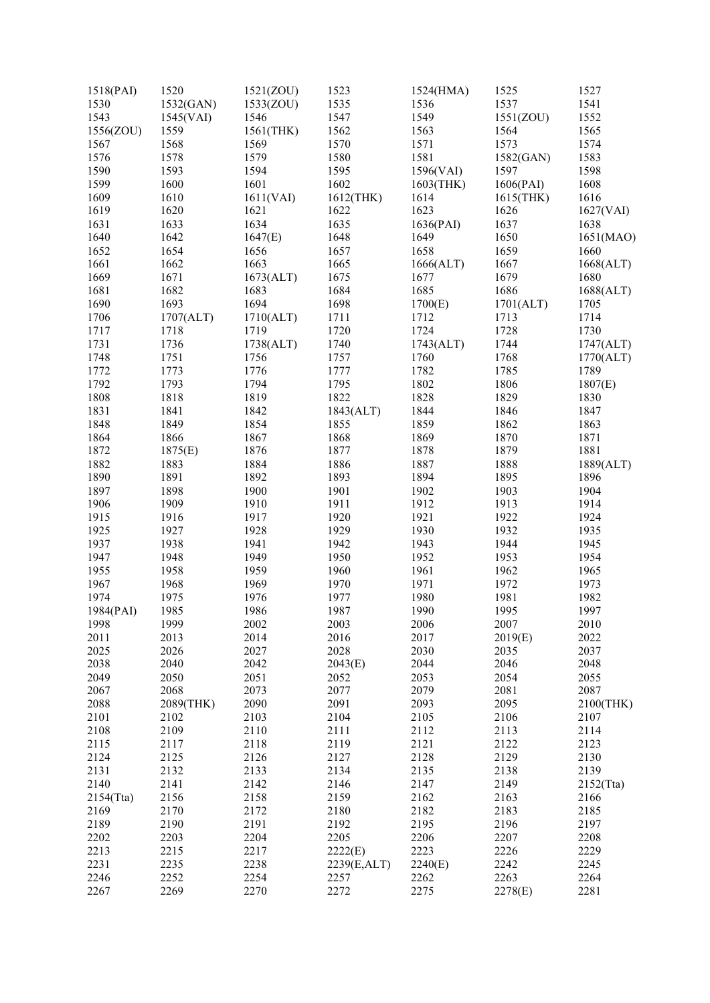| 1518(PAI) | 1520      | 1521(ZOU) | 1523        | 1524(HMA) | 1525      | 1527              |
|-----------|-----------|-----------|-------------|-----------|-----------|-------------------|
| 1530      | 1532(GAN) | 1533(ZOU) | 1535        | 1536      | 1537      | 1541              |
| 1543      | 1545(VAI) | 1546      | 1547        | 1549      | 1551(ZOU) | 1552              |
| 1556(ZOU) | 1559      | 1561(THK) | 1562        | 1563      | 1564      | 1565              |
| 1567      | 1568      | 1569      | 1570        | 1571      | 1573      | 1574              |
| 1576      | 1578      | 1579      | 1580        | 1581      | 1582(GAN) | 1583              |
| 1590      | 1593      | 1594      | 1595        | 1596(VAI) | 1597      | 1598              |
| 1599      | 1600      | 1601      | 1602        | 1603(THK) | 1606(PAI) | 1608              |
| 1609      | 1610      | 1611(VAI) | 1612(THK)   | 1614      | 1615(THK) | 1616              |
| 1619      | 1620      | 1621      | 1622        | 1623      | 1626      |                   |
| 1631      | 1633      | 1634      | 1635        |           | 1637      | 1627(VAI)<br>1638 |
|           |           |           |             | 1636(PAI) |           |                   |
| 1640      | 1642      | 1647(E)   | 1648        | 1649      | 1650      | 1651(MAO)         |
| 1652      | 1654      | 1656      | 1657        | 1658      | 1659      | 1660              |
| 1661      | 1662      | 1663      | 1665        | 1666(ALT) | 1667      | 1668(ALT)         |
| 1669      | 1671      | 1673(ALT) | 1675        | 1677      | 1679      | 1680              |
| 1681      | 1682      | 1683      | 1684        | 1685      | 1686      | 1688(ALT)         |
| 1690      | 1693      | 1694      | 1698        | 1700(E)   | 1701(ALT) | 1705              |
| 1706      | 1707(ALT) | 1710(ALT) | 1711        | 1712      | 1713      | 1714              |
| 1717      | 1718      | 1719      | 1720        | 1724      | 1728      | 1730              |
| 1731      | 1736      | 1738(ALT) | 1740        | 1743(ALT) | 1744      | 1747(ALT)         |
| 1748      | 1751      | 1756      | 1757        | 1760      | 1768      | 1770(ALT)         |
| 1772      | 1773      | 1776      | 1777        | 1782      | 1785      | 1789              |
| 1792      | 1793      | 1794      | 1795        | 1802      | 1806      | 1807(E)           |
| 1808      | 1818      | 1819      | 1822        | 1828      | 1829      | 1830              |
| 1831      | 1841      | 1842      | 1843(ALT)   | 1844      | 1846      | 1847              |
| 1848      | 1849      | 1854      | 1855        | 1859      | 1862      | 1863              |
| 1864      | 1866      | 1867      | 1868        | 1869      | 1870      | 1871              |
| 1872      | 1875(E)   | 1876      | 1877        | 1878      | 1879      | 1881              |
| 1882      | 1883      | 1884      | 1886        | 1887      | 1888      | 1889(ALT)         |
| 1890      | 1891      | 1892      | 1893        | 1894      | 1895      | 1896              |
| 1897      | 1898      | 1900      | 1901        | 1902      | 1903      | 1904              |
| 1906      | 1909      | 1910      | 1911        | 1912      | 1913      | 1914              |
| 1915      | 1916      | 1917      | 1920        | 1921      | 1922      | 1924              |
|           |           | 1928      |             | 1930      |           |                   |
| 1925      | 1927      |           | 1929        |           | 1932      | 1935              |
| 1937      | 1938      | 1941      | 1942        | 1943      | 1944      | 1945              |
| 1947      | 1948      | 1949      | 1950        | 1952      | 1953      | 1954              |
| 1955      | 1958      | 1959      | 1960        | 1961      | 1962      | 1965              |
| 1967      | 1968      | 1969      | 1970        | 1971      | 1972      | 1973              |
| 1974      | 1975      | 1976      | 1977        | 1980      | 1981      | 1982              |
| 1984(PAI) | 1985      | 1986      | 1987        | 1990      | 1995      | 1997              |
| 1998      | 1999      | 2002      | 2003        | 2006      | 2007      | 2010              |
| 2011      | 2013      | 2014      | 2016        | 2017      | 2019(E)   | 2022              |
| 2025      | 2026      | 2027      | 2028        | 2030      | 2035      | 2037              |
| 2038      | 2040      | 2042      | 2043(E)     | 2044      | 2046      | 2048              |
| 2049      | 2050      | 2051      | 2052        | 2053      | 2054      | 2055              |
| 2067      | 2068      | 2073      | 2077        | 2079      | 2081      | 2087              |
| 2088      | 2089(THK) | 2090      | 2091        | 2093      | 2095      | 2100(THK)         |
| 2101      | 2102      | 2103      | 2104        | 2105      | 2106      | 2107              |
| 2108      | 2109      | 2110      | 2111        | 2112      | 2113      | 2114              |
| 2115      | 2117      | 2118      | 2119        | 2121      | 2122      | 2123              |
| 2124      | 2125      | 2126      | 2127        | 2128      | 2129      | 2130              |
| 2131      | 2132      | 2133      | 2134        | 2135      | 2138      | 2139              |
| 2140      | 2141      | 2142      | 2146        | 2147      | 2149      | 2152(Tta)         |
| 2154(Tta) | 2156      | 2158      | 2159        | 2162      | 2163      | 2166              |
| 2169      | 2170      | 2172      | 2180        | 2182      | 2183      | 2185              |
| 2189      | 2190      | 2191      | 2192        | 2195      | 2196      | 2197              |
|           |           |           |             |           |           |                   |
| 2202      | 2203      | 2204      | 2205        | 2206      | 2207      | 2208              |
| 2213      | 2215      | 2217      | 2222(E)     | 2223      | 2226      | 2229              |
| 2231      | 2235      | 2238      | 2239(E,ALT) | 2240(E)   | 2242      | 2245              |
| 2246      | 2252      | 2254      | 2257        | 2262      | 2263      | 2264              |
| 2267      | 2269      | 2270      | 2272        | 2275      | 2278(E)   | 2281              |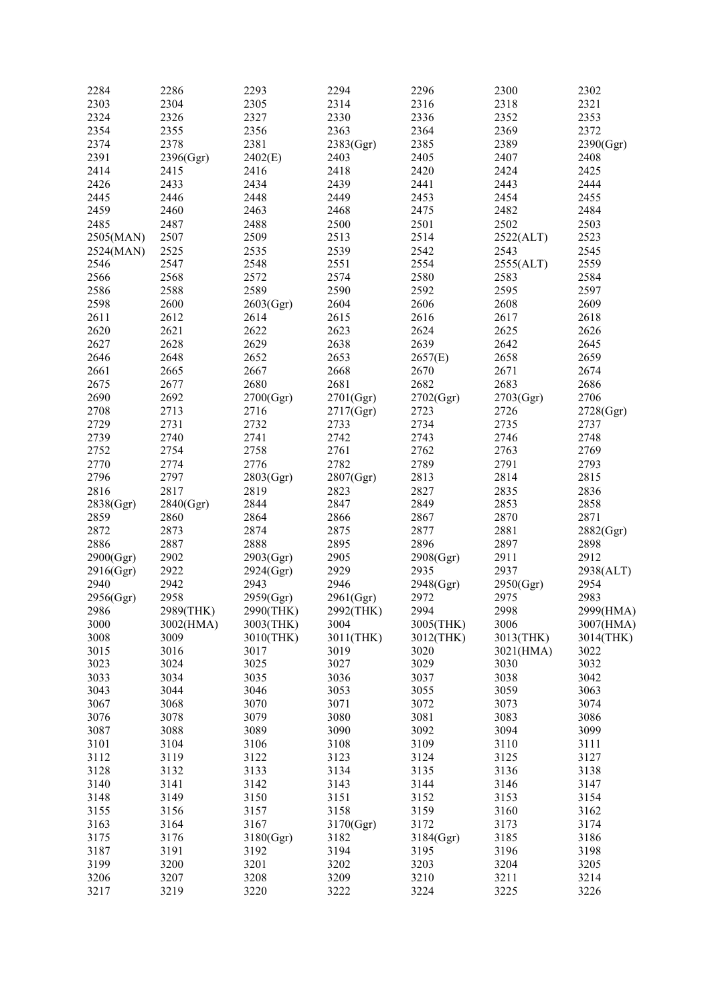| 2284      | 2286      | 2293      | 2294      | 2296         | 2300      | 2302      |
|-----------|-----------|-----------|-----------|--------------|-----------|-----------|
| 2303      | 2304      | 2305      | 2314      | 2316         | 2318      | 2321      |
| 2324      | 2326      | 2327      | 2330      | 2336         | 2352      | 2353      |
| 2354      | 2355      | 2356      | 2363      | 2364         | 2369      | 2372      |
| 2374      | 2378      | 2381      | 2383(Ggr) | 2385         | 2389      | 2390(Ggr) |
| 2391      | 2396(Ggr) | 2402(E)   | 2403      | 2405         | 2407      | 2408      |
| 2414      | 2415      | 2416      | 2418      | 2420         | 2424      | 2425      |
| 2426      | 2433      | 2434      | 2439      | 2441         | 2443      | 2444      |
| 2445      | 2446      | 2448      | 2449      | 2453         | 2454      | 2455      |
| 2459      | 2460      | 2463      | 2468      | 2475         | 2482      | 2484      |
| 2485      | 2487      | 2488      | 2500      | 2501         | 2502      | 2503      |
| 2505(MAN) | 2507      | 2509      | 2513      | 2514         | 2522(ALT) | 2523      |
| 2524(MAN) | 2525      | 2535      | 2539      | 2542         | 2543      | 2545      |
| 2546      | 2547      | 2548      | 2551      | 2554         | 2555(ALT) | 2559      |
| 2566      | 2568      | 2572      | 2574      | 2580         | 2583      | 2584      |
| 2586      | 2588      | 2589      | 2590      | 2592         | 2595      | 2597      |
| 2598      | 2600      |           | 2604      | 2606         | 2608      | 2609      |
|           |           | 2603(Ggr) |           |              |           |           |
| 2611      | 2612      | 2614      | 2615      | 2616<br>2624 | 2617      | 2618      |
| 2620      | 2621      | 2622      | 2623      |              | 2625      | 2626      |
| 2627      | 2628      | 2629      | 2638      | 2639         | 2642      | 2645      |
| 2646      | 2648      | 2652      | 2653      | 2657(E)      | 2658      | 2659      |
| 2661      | 2665      | 2667      | 2668      | 2670         | 2671      | 2674      |
| 2675      | 2677      | 2680      | 2681      | 2682         | 2683      | 2686      |
| 2690      | 2692      | 2700(Ggr) | 2701(Ggr) | 2702(Ggr)    | 2703(Ggr) | 2706      |
| 2708      | 2713      | 2716      | 2717(Ggr) | 2723         | 2726      | 2728(Ggr) |
| 2729      | 2731      | 2732      | 2733      | 2734         | 2735      | 2737      |
| 2739      | 2740      | 2741      | 2742      | 2743         | 2746      | 2748      |
| 2752      | 2754      | 2758      | 2761      | 2762         | 2763      | 2769      |
| 2770      | 2774      | 2776      | 2782      | 2789         | 2791      | 2793      |
| 2796      | 2797      | 2803(Ggr) | 2807(Ggr) | 2813         | 2814      | 2815      |
| 2816      | 2817      | 2819      | 2823      | 2827         | 2835      | 2836      |
| 2838(Ggr) | 2840(Ggr) | 2844      | 2847      | 2849         | 2853      | 2858      |
| 2859      | 2860      | 2864      | 2866      | 2867         | 2870      | 2871      |
| 2872      | 2873      | 2874      | 2875      | 2877         | 2881      | 2882(Ggr) |
| 2886      | 2887      | 2888      | 2895      | 2896         | 2897      | 2898      |
| 2900(Ggr) | 2902      | 2903(Ggr) | 2905      | 2908(Ggr)    | 2911      | 2912      |
| 2916(Ggr) | 2922      | 2924(Ggr) | 2929      | 2935         | 2937      | 2938(ALT) |
| 2940      | 2942      | 2943      | 2946      | 2948(Ggr)    | 2950(Ggr) | 2954      |
| 2956(Ggr) | 2958      | 2959(Ggr) | 2961(Ggr) | 2972         | 2975      | 2983      |
| 2986      | 2989(THK) | 2990(THK) | 2992(THK) | 2994         | 2998      | 2999(HMA) |
| 3000      | 3002(HMA) | 3003(THK) | 3004      | 3005(THK)    | 3006      | 3007(HMA) |
| 3008      | 3009      | 3010(THK) | 3011(THK) | 3012(THK)    | 3013(THK) | 3014(THK) |
| 3015      | 3016      | 3017      | 3019      | 3020         | 3021(HMA) | 3022      |
| 3023      | 3024      | 3025      | 3027      | 3029         | 3030      | 3032      |
| 3033      | 3034      | 3035      | 3036      | 3037         | 3038      | 3042      |
| 3043      | 3044      | 3046      | 3053      | 3055         | 3059      | 3063      |
| 3067      | 3068      | 3070      | 3071      | 3072         | 3073      | 3074      |
| 3076      | 3078      | 3079      | 3080      | 3081         | 3083      | 3086      |
| 3087      | 3088      | 3089      | 3090      | 3092         | 3094      | 3099      |
| 3101      | 3104      | 3106      | 3108      | 3109         | 3110      | 3111      |
| 3112      | 3119      | 3122      | 3123      | 3124         | 3125      | 3127      |
| 3128      | 3132      | 3133      | 3134      | 3135         | 3136      | 3138      |
| 3140      | 3141      | 3142      | 3143      | 3144         | 3146      | 3147      |
| 3148      | 3149      | 3150      | 3151      | 3152         | 3153      | 3154      |
| 3155      | 3156      | 3157      | 3158      | 3159         | 3160      | 3162      |
| 3163      | 3164      | 3167      | 3170(Ggr) | 3172         | 3173      | 3174      |
| 3175      | 3176      | 3180(Ggr) | 3182      | 3184(Ggr)    | 3185      | 3186      |
| 3187      | 3191      | 3192      | 3194      | 3195         | 3196      | 3198      |
| 3199      | 3200      | 3201      | 3202      | 3203         | 3204      | 3205      |
| 3206      | 3207      | 3208      | 3209      | 3210         | 3211      | 3214      |
| 3217      | 3219      | 3220      | 3222      | 3224         | 3225      | 3226      |
|           |           |           |           |              |           |           |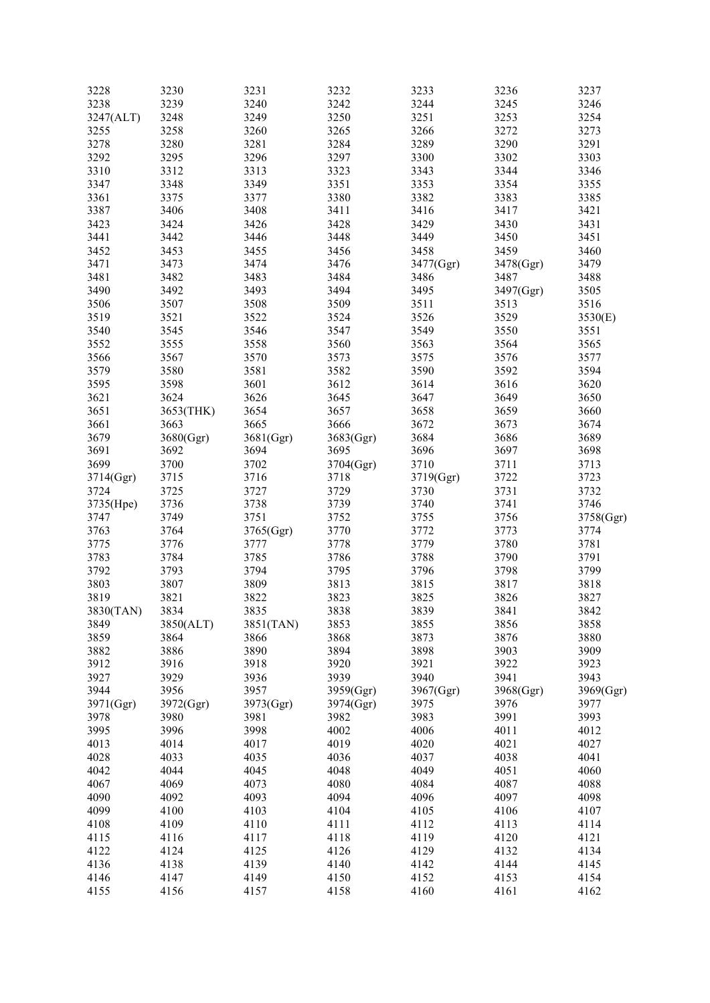| 3228      | 3230      | 3231      | 3232      | 3233      | 3236      | 3237      |
|-----------|-----------|-----------|-----------|-----------|-----------|-----------|
| 3238      | 3239      | 3240      | 3242      | 3244      | 3245      | 3246      |
| 3247(ALT) | 3248      | 3249      | 3250      | 3251      | 3253      | 3254      |
|           |           |           |           |           |           |           |
| 3255      | 3258      | 3260      | 3265      | 3266      | 3272      | 3273      |
| 3278      | 3280      | 3281      | 3284      | 3289      | 3290      | 3291      |
| 3292      | 3295      | 3296      | 3297      | 3300      | 3302      | 3303      |
| 3310      | 3312      | 3313      | 3323      | 3343      | 3344      | 3346      |
|           |           |           |           |           |           |           |
| 3347      | 3348      | 3349      | 3351      | 3353      | 3354      | 3355      |
| 3361      | 3375      | 3377      | 3380      | 3382      | 3383      | 3385      |
| 3387      | 3406      | 3408      | 3411      | 3416      | 3417      | 3421      |
| 3423      | 3424      | 3426      | 3428      | 3429      | 3430      | 3431      |
|           |           |           |           |           |           |           |
| 3441      | 3442      | 3446      | 3448      | 3449      | 3450      | 3451      |
| 3452      | 3453      | 3455      | 3456      | 3458      | 3459      | 3460      |
| 3471      | 3473      | 3474      | 3476      | 3477(Ggr) | 3478(Ggr) | 3479      |
| 3481      | 3482      | 3483      | 3484      | 3486      | 3487      | 3488      |
|           |           |           |           |           |           |           |
| 3490      | 3492      | 3493      | 3494      | 3495      | 3497(Ggr) | 3505      |
| 3506      | 3507      | 3508      | 3509      | 3511      | 3513      | 3516      |
| 3519      | 3521      | 3522      | 3524      | 3526      | 3529      | 3530(E)   |
|           |           |           |           |           |           |           |
| 3540      | 3545      | 3546      | 3547      | 3549      | 3550      | 3551      |
| 3552      | 3555      | 3558      | 3560      | 3563      | 3564      | 3565      |
| 3566      | 3567      | 3570      | 3573      | 3575      | 3576      | 3577      |
| 3579      | 3580      | 3581      | 3582      | 3590      | 3592      | 3594      |
|           |           |           |           |           |           |           |
| 3595      | 3598      | 3601      | 3612      | 3614      | 3616      | 3620      |
| 3621      | 3624      | 3626      | 3645      | 3647      | 3649      | 3650      |
| 3651      | 3653(THK) | 3654      | 3657      | 3658      | 3659      | 3660      |
| 3661      | 3663      | 3665      | 3666      | 3672      | 3673      | 3674      |
|           |           |           |           |           |           |           |
| 3679      | 3680(Ggr) | 3681(Ggr) | 3683(Ggr) | 3684      | 3686      | 3689      |
| 3691      | 3692      | 3694      | 3695      | 3696      | 3697      | 3698      |
| 3699      | 3700      | 3702      | 3704(Ggr) | 3710      | 3711      | 3713      |
| 3714(Ggr) | 3715      | 3716      | 3718      | 3719(Ggr) | 3722      | 3723      |
|           |           |           |           |           |           |           |
| 3724      | 3725      | 3727      | 3729      | 3730      | 3731      | 3732      |
| 3735(Hpe) | 3736      | 3738      | 3739      | 3740      | 3741      | 3746      |
| 3747      | 3749      | 3751      | 3752      | 3755      | 3756      | 3758(Ggr) |
| 3763      | 3764      | 3765(Ggr) | 3770      | 3772      | 3773      | 3774      |
|           |           |           |           |           |           |           |
| 3775      | 3776      | 3777      | 3778      | 3779      | 3780      | 3781      |
| 3783      | 3784      | 3785      | 3786      | 3788      | 3790      | 3791      |
| 3792      | 3793      | 3794      | 3795      | 3796      | 3798      | 3799      |
| 3803      | 3807      | 3809      | 3813      | 3815      | 3817      | 3818      |
|           |           |           |           |           |           |           |
| 3819      | 3821      | 3822      | 3823      | 3825      | 3826      | 3827      |
| 3830(TAN) | 3834      | 3835      | 3838      | 3839      | 3841      | 3842      |
| 3849      | 3850(ALT) | 3851(TAN) | 3853      | 3855      | 3856      | 3858      |
| 3859      | 3864      | 3866      | 3868      | 3873      | 3876      | 3880      |
|           | 3886      | 3890      | 3894      |           |           |           |
| 3882      |           |           |           | 3898      | 3903      | 3909      |
| 3912      | 3916      | 3918      | 3920      | 3921      | 3922      | 3923      |
| 3927      | 3929      | 3936      | 3939      | 3940      | 3941      | 3943      |
| 3944      | 3956      | 3957      | 3959(Ggr) | 3967(Ggr) | 3968(Ggr) | 3969(Ggr) |
|           |           |           |           | 3975      | 3976      | 3977      |
| 3971(Ggr) | 3972(Ggr) | 3973(Ggr) | 3974(Ggr) |           |           |           |
| 3978      | 3980      | 3981      | 3982      | 3983      | 3991      | 3993      |
| 3995      | 3996      | 3998      | 4002      | 4006      | 4011      | 4012      |
| 4013      | 4014      | 4017      | 4019      | 4020      | 4021      | 4027      |
| 4028      | 4033      | 4035      | 4036      | 4037      | 4038      | 4041      |
|           |           |           |           |           |           |           |
| 4042      | 4044      | 4045      | 4048      | 4049      | 4051      | 4060      |
| 4067      | 4069      | 4073      | 4080      | 4084      | 4087      | 4088      |
| 4090      | 4092      | 4093      | 4094      | 4096      | 4097      | 4098      |
| 4099      | 4100      | 4103      | 4104      | 4105      | 4106      | 4107      |
|           |           |           |           |           |           |           |
| 4108      | 4109      | 4110      | 4111      | 4112      | 4113      | 4114      |
| 4115      | 4116      | 4117      | 4118      | 4119      | 4120      | 4121      |
| 4122      | 4124      | 4125      | 4126      | 4129      | 4132      | 4134      |
| 4136      | 4138      | 4139      | 4140      | 4142      | 4144      | 4145      |
|           |           |           |           |           |           |           |
| 4146      | 4147      | 4149      | 4150      | 4152      | 4153      | 4154      |
| 4155      | 4156      | 4157      | 4158      | 4160      | 4161      | 4162      |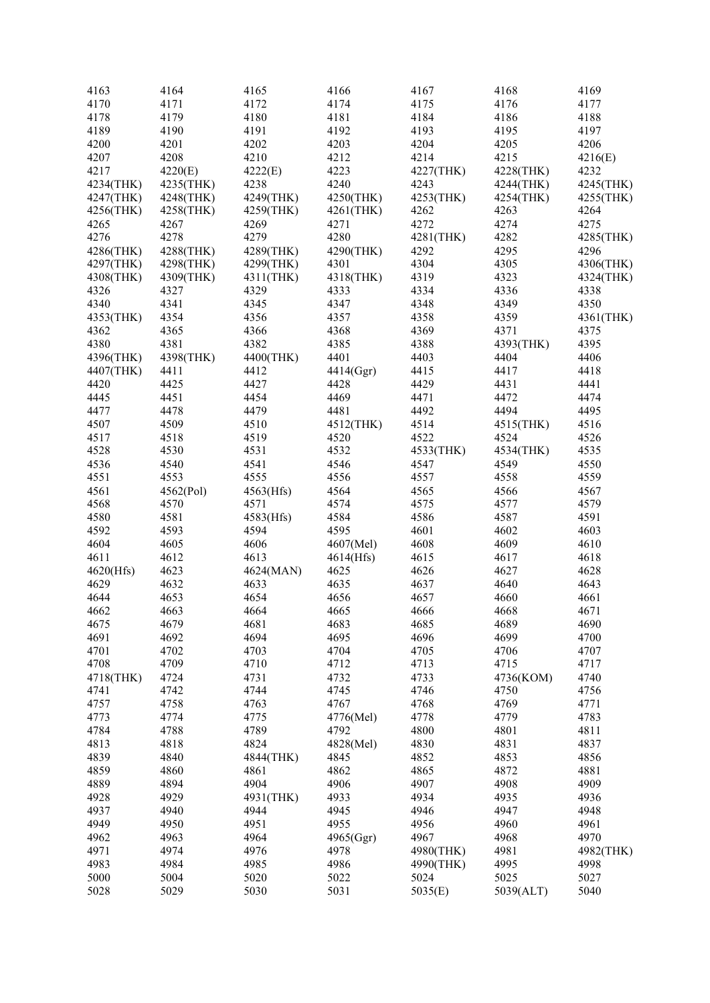| 4163      | 4164                   | 4165      | 4166      | 4167      | 4168      | 4169              |
|-----------|------------------------|-----------|-----------|-----------|-----------|-------------------|
| 4170      | 4171                   | 4172      | 4174      | 4175      | 4176      | 4177              |
| 4178      | 4179                   | 4180      | 4181      | 4184      | 4186      | 4188              |
| 4189      | 4190                   | 4191      | 4192      | 4193      | 4195      | 4197              |
| 4200      | 4201                   | 4202      | 4203      | 4204      | 4205      | 4206              |
| 4207      | 4208                   | 4210      | 4212      | 4214      | 4215      | 4216(E)           |
| 4217      | 4220(E)                | 4222(E)   | 4223      | 4227(THK) | 4228(THK) | 4232              |
| 4234(THK) | 4235(THK)              | 4238      | 4240      | 4243      | 4244(THK) | 4245(THK)         |
| 4247(THK) |                        | 4249(THK) | 4250(THK) | 4253(THK) | 4254(THK) |                   |
| 4256(THK) | 4248(THK)<br>4258(THK) |           | 4261(THK) | 4262      | 4263      | 4255(THK)<br>4264 |
|           |                        | 4259(THK) |           |           |           |                   |
| 4265      | 4267                   | 4269      | 4271      | 4272      | 4274      | 4275              |
| 4276      | 4278                   | 4279      | 4280      | 4281(THK) | 4282      | 4285(THK)         |
| 4286(THK) | 4288(THK)              | 4289(THK) | 4290(THK) | 4292      | 4295      | 4296              |
| 4297(THK) | 4298(THK)              | 4299(THK) | 4301      | 4304      | 4305      | 4306(THK)         |
| 4308(THK) | 4309(THK)              | 4311(THK) | 4318(THK) | 4319      | 4323      | 4324(THK)         |
| 4326      | 4327                   | 4329      | 4333      | 4334      | 4336      | 4338              |
| 4340      | 4341                   | 4345      | 4347      | 4348      | 4349      | 4350              |
| 4353(THK) | 4354                   | 4356      | 4357      | 4358      | 4359      | 4361(THK)         |
| 4362      | 4365                   | 4366      | 4368      | 4369      | 4371      | 4375              |
| 4380      | 4381                   | 4382      | 4385      | 4388      | 4393(THK) | 4395              |
| 4396(THK) | 4398(THK)              | 4400(THK) | 4401      | 4403      | 4404      | 4406              |
| 4407(THK) | 4411                   | 4412      | 4414(Ggr) | 4415      | 4417      | 4418              |
| 4420      | 4425                   | 4427      | 4428      | 4429      | 4431      | 4441              |
| 4445      | 4451                   | 4454      | 4469      | 4471      | 4472      | 4474              |
| 4477      | 4478                   | 4479      | 4481      | 4492      | 4494      | 4495              |
| 4507      | 4509                   | 4510      | 4512(THK) | 4514      | 4515(THK) | 4516              |
| 4517      | 4518                   | 4519      | 4520      | 4522      | 4524      | 4526              |
| 4528      | 4530                   | 4531      | 4532      | 4533(THK) | 4534(THK) | 4535              |
| 4536      | 4540                   | 4541      | 4546      | 4547      | 4549      | 4550              |
| 4551      | 4553                   | 4555      | 4556      | 4557      | 4558      | 4559              |
|           |                        |           |           |           |           |                   |
| 4561      | 4562(Pol)              | 4563(Hfs) | 4564      | 4565      | 4566      | 4567              |
| 4568      | 4570                   | 4571      | 4574      | 4575      | 4577      | 4579              |
| 4580      | 4581                   | 4583(Hfs) | 4584      | 4586      | 4587      | 4591              |
| 4592      | 4593                   | 4594      | 4595      | 4601      | 4602      | 4603              |
| 4604      | 4605                   | 4606      | 4607(Mel) | 4608      | 4609      | 4610              |
| 4611      | 4612                   | 4613      | 4614(Hfs) | 4615      | 4617      | 4618              |
| 4620(Hfs) | 4623                   | 4624(MAN) | 4625      | 4626      | 4627      | 4628              |
| 4629      | 4632                   | 4633      | 4635      | 4637      | 4640      | 4643              |
| 4644      | 4653                   | 4654      | 4656      | 4657      | 4660      | 4661              |
| 4662      | 4663                   | 4664      | 4665      | 4666      | 4668      | 4671              |
| 4675      | 4679                   | 4681      | 4683      | 4685      | 4689      | 4690              |
| 4691      | 4692                   | 4694      | 4695      | 4696      | 4699      | 4700              |
| 4701      | 4702                   | 4703      | 4704      | 4705      | 4706      | 4707              |
| 4708      | 4709                   | 4710      | 4712      | 4713      | 4715      | 4717              |
| 4718(THK) | 4724                   | 4731      | 4732      | 4733      | 4736(KOM) | 4740              |
| 4741      | 4742                   | 4744      | 4745      | 4746      | 4750      | 4756              |
| 4757      | 4758                   | 4763      | 4767      | 4768      | 4769      | 4771              |
| 4773      | 4774                   | 4775      | 4776(Mel) | 4778      | 4779      | 4783              |
| 4784      | 4788                   | 4789      | 4792      | 4800      | 4801      | 4811              |
| 4813      | 4818                   | 4824      | 4828(Mel) | 4830      | 4831      | 4837              |
| 4839      | 4840                   | 4844(THK) | 4845      | 4852      | 4853      | 4856              |
| 4859      | 4860                   | 4861      | 4862      | 4865      | 4872      | 4881              |
|           |                        | 4904      |           |           |           |                   |
| 4889      | 4894                   |           | 4906      | 4907      | 4908      | 4909              |
| 4928      | 4929                   | 4931(THK) | 4933      | 4934      | 4935      | 4936              |
| 4937      | 4940                   | 4944      | 4945      | 4946      | 4947      | 4948              |
| 4949      | 4950                   | 4951      | 4955      | 4956      | 4960      | 4961              |
| 4962      | 4963                   | 4964      | 4965(Ggr) | 4967      | 4968      | 4970              |
| 4971      | 4974                   | 4976      | 4978      | 4980(THK) | 4981      | 4982(THK)         |
| 4983      | 4984                   | 4985      | 4986      | 4990(THK) | 4995      | 4998              |
| 5000      | 5004                   | 5020      | 5022      | 5024      | 5025      | 5027              |
| 5028      | 5029                   | 5030      | 5031      | 5035(E)   | 5039(ALT) | 5040              |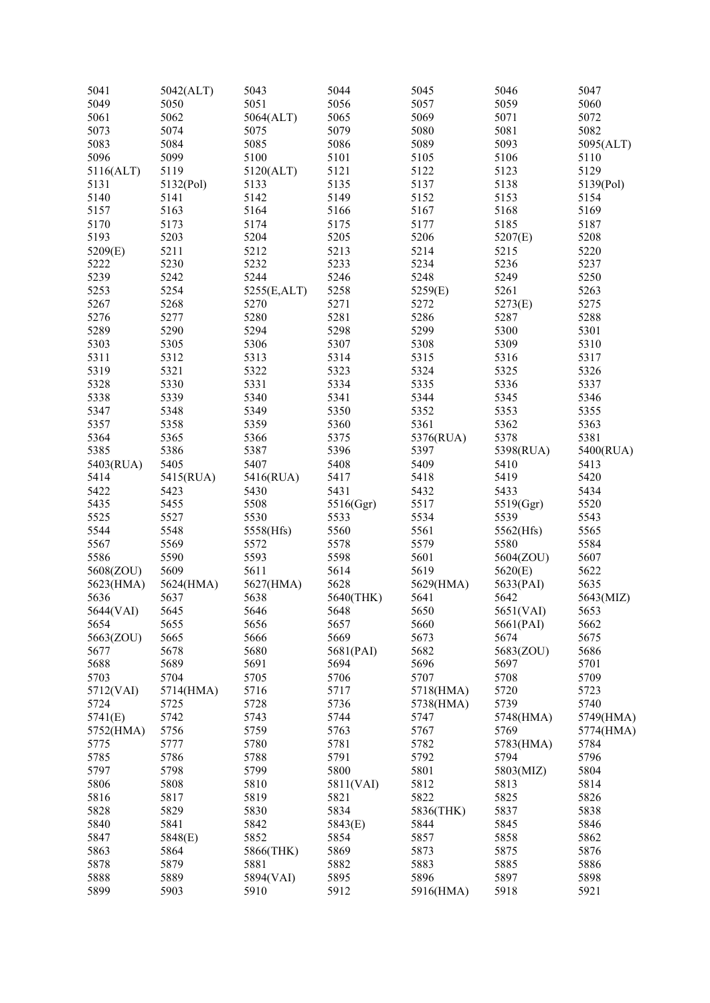| 5041      | 5042(ALT) | 5043        | 5044      | 5045      | 5046      | 5047      |
|-----------|-----------|-------------|-----------|-----------|-----------|-----------|
| 5049      | 5050      | 5051        | 5056      | 5057      | 5059      | 5060      |
| 5061      | 5062      | 5064(ALT)   | 5065      | 5069      | 5071      | 5072      |
| 5073      | 5074      | 5075        | 5079      | 5080      | 5081      | 5082      |
| 5083      | 5084      | 5085        | 5086      | 5089      | 5093      | 5095(ALT) |
| 5096      | 5099      | 5100        | 5101      | 5105      | 5106      | 5110      |
| 5116(ALT) | 5119      | 5120(ALT)   | 5121      | 5122      | 5123      | 5129      |
| 5131      | 5132(Pol) | 5133        | 5135      | 5137      | 5138      | 5139(Pol) |
| 5140      | 5141      | 5142        | 5149      | 5152      | 5153      | 5154      |
| 5157      | 5163      | 5164        | 5166      | 5167      | 5168      | 5169      |
| 5170      | 5173      | 5174        | 5175      | 5177      | 5185      | 5187      |
| 5193      | 5203      | 5204        | 5205      | 5206      | 5207(E)   | 5208      |
| 5209(E)   | 5211      | 5212        | 5213      | 5214      | 5215      | 5220      |
| 5222      | 5230      | 5232        | 5233      | 5234      | 5236      | 5237      |
| 5239      | 5242      | 5244        | 5246      | 5248      | 5249      | 5250      |
| 5253      | 5254      |             | 5258      | 5259(E)   | 5261      | 5263      |
|           |           | 5255(E,ALT) | 5271      |           |           | 5275      |
| 5267      | 5268      | 5270        |           | 5272      | 5273(E)   |           |
| 5276      | 5277      | 5280        | 5281      | 5286      | 5287      | 5288      |
| 5289      | 5290      | 5294        | 5298      | 5299      | 5300      | 5301      |
| 5303      | 5305      | 5306        | 5307      | 5308      | 5309      | 5310      |
| 5311      | 5312      | 5313        | 5314      | 5315      | 5316      | 5317      |
| 5319      | 5321      | 5322        | 5323      | 5324      | 5325      | 5326      |
| 5328      | 5330      | 5331        | 5334      | 5335      | 5336      | 5337      |
| 5338      | 5339      | 5340        | 5341      | 5344      | 5345      | 5346      |
| 5347      | 5348      | 5349        | 5350      | 5352      | 5353      | 5355      |
| 5357      | 5358      | 5359        | 5360      | 5361      | 5362      | 5363      |
| 5364      | 5365      | 5366        | 5375      | 5376(RUA) | 5378      | 5381      |
| 5385      | 5386      | 5387        | 5396      | 5397      | 5398(RUA) | 5400(RUA) |
| 5403(RUA) | 5405      | 5407        | 5408      | 5409      | 5410      | 5413      |
| 5414      | 5415(RUA) | 5416(RUA)   | 5417      | 5418      | 5419      | 5420      |
| 5422      | 5423      | 5430        | 5431      | 5432      | 5433      | 5434      |
| 5435      | 5455      | 5508        | 5516(Ggr) | 5517      | 5519(Ggr) | 5520      |
| 5525      | 5527      | 5530        | 5533      | 5534      | 5539      | 5543      |
| 5544      | 5548      | 5558(Hfs)   | 5560      | 5561      | 5562(Hfs) | 5565      |
| 5567      | 5569      | 5572        | 5578      | 5579      | 5580      | 5584      |
| 5586      | 5590      | 5593        | 5598      | 5601      | 5604(ZOU) | 5607      |
| 5608(ZOU) | 5609      | 5611        | 5614      | 5619      | 5620(E)   | 5622      |
| 5623(HMA) | 5624(HMA) | 5627(HMA)   | 5628      | 5629(HMA) | 5633(PAI) | 5635      |
| 5636      | 5637      | 5638        | 5640(THK) | 5641      | 5642      | 5643(MIZ) |
| 5644(VAI) | 5645      | 5646        | 5648      | 5650      | 5651(VAI) | 5653      |
| 5654      | 5655      | 5656        | 5657      | 5660      | 5661(PAI) | 5662      |
| 5663(ZOU) | 5665      | 5666        | 5669      | 5673      | 5674      | 5675      |
| 5677      | 5678      | 5680        | 5681(PAI) | 5682      | 5683(ZOU) | 5686      |
| 5688      | 5689      | 5691        | 5694      | 5696      | 5697      | 5701      |
| 5703      | 5704      | 5705        | 5706      | 5707      | 5708      | 5709      |
| 5712(VAI) | 5714(HMA) | 5716        | 5717      | 5718(HMA) | 5720      | 5723      |
| 5724      | 5725      | 5728        | 5736      | 5738(HMA) | 5739      | 5740      |
| 5741(E)   | 5742      | 5743        | 5744      | 5747      | 5748(HMA) | 5749(HMA) |
| 5752(HMA) | 5756      | 5759        | 5763      | 5767      | 5769      | 5774(HMA) |
| 5775      | 5777      | 5780        | 5781      | 5782      | 5783(HMA) | 5784      |
| 5785      | 5786      | 5788        | 5791      | 5792      | 5794      | 5796      |
| 5797      | 5798      | 5799        | 5800      | 5801      | 5803(MIZ) | 5804      |
| 5806      | 5808      | 5810        | 5811(VAI) | 5812      | 5813      | 5814      |
| 5816      | 5817      | 5819        | 5821      | 5822      | 5825      | 5826      |
| 5828      | 5829      | 5830        | 5834      | 5836(THK) | 5837      | 5838      |
| 5840      | 5841      | 5842        | 5843(E)   | 5844      | 5845      | 5846      |
| 5847      | 5848(E)   | 5852        | 5854      | 5857      | 5858      | 5862      |
| 5863      | 5864      | 5866(THK)   | 5869      | 5873      | 5875      | 5876      |
| 5878      | 5879      | 5881        | 5882      | 5883      | 5885      | 5886      |
| 5888      | 5889      | 5894(VAI)   | 5895      | 5896      | 5897      | 5898      |
| 5899      | 5903      | 5910        | 5912      | 5916(HMA) | 5918      | 5921      |
|           |           |             |           |           |           |           |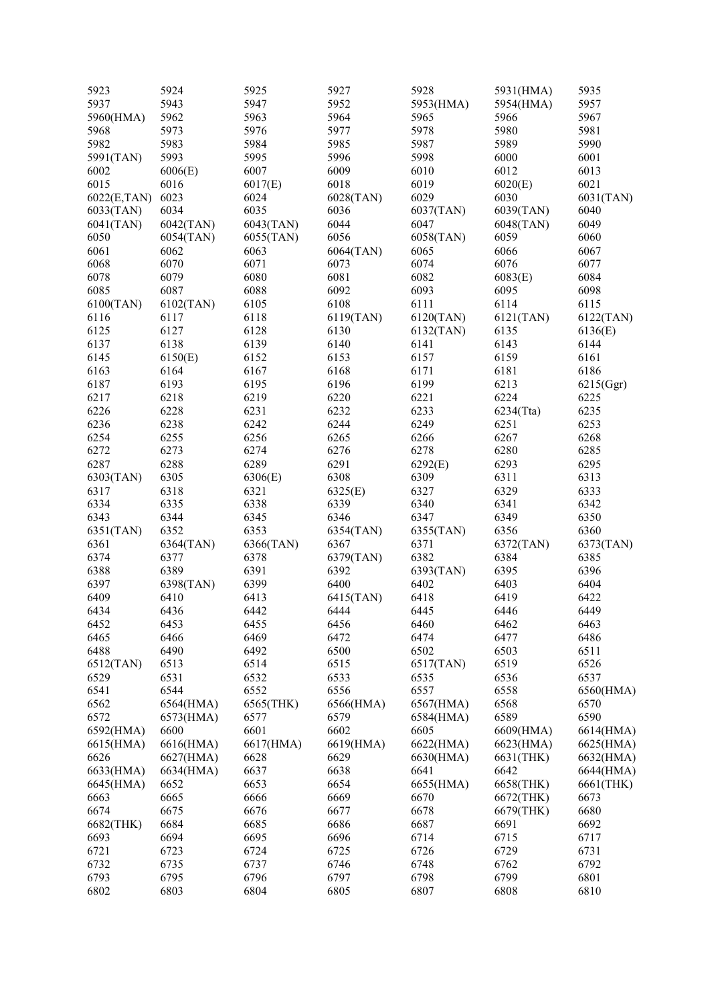| 5923        | 5924      | 5925      | 5927      | 5928      | 5931(HMA) | 5935      |
|-------------|-----------|-----------|-----------|-----------|-----------|-----------|
| 5937        | 5943      | 5947      | 5952      | 5953(HMA) | 5954(HMA) | 5957      |
| 5960(HMA)   | 5962      | 5963      | 5964      | 5965      | 5966      | 5967      |
| 5968        | 5973      | 5976      | 5977      | 5978      | 5980      | 5981      |
| 5982        | 5983      | 5984      | 5985      | 5987      | 5989      | 5990      |
| 5991(TAN)   | 5993      | 5995      | 5996      | 5998      | 6000      | 6001      |
| 6002        | 6006(E)   | 6007      | 6009      | 6010      | 6012      | 6013      |
| 6015        | 6016      | 6017(E)   | 6018      | 6019      | 6020(E)   | 6021      |
| 6022(E,TAN) | 6023      | 6024      | 6028(TAN) | 6029      | 6030      | 6031(TAN) |
| 6033(TAN)   | 6034      | 6035      | 6036      | 6037(TAN) | 6039(TAN) | 6040      |
| 6041(TAN)   | 6042(TAN) | 6043(TAN) | 6044      | 6047      | 6048(TAN) | 6049      |
| 6050        | 6054(TAN) | 6055(TAN) | 6056      | 6058(TAN) | 6059      | 6060      |
| 6061        | 6062      | 6063      | 6064(TAN) | 6065      | 6066      | 6067      |
| 6068        | 6070      | 6071      | 6073      | 6074      | 6076      | 6077      |
| 6078        | 6079      | 6080      | 6081      | 6082      | 6083(E)   | 6084      |
| 6085        | 6087      | 6088      | 6092      | 6093      | 6095      | 6098      |
|             |           | 6105      | 6108      | 6111      | 6114      | 6115      |
| 6100(TAN)   | 6102(TAN) |           |           |           |           |           |
| 6116        | 6117      | 6118      | 6119(TAN) | 6120(TAN) | 6121(TAN) | 6122(TAN) |
| 6125        | 6127      | 6128      | 6130      | 6132(TAN) | 6135      | 6136(E)   |
| 6137        | 6138      | 6139      | 6140      | 6141      | 6143      | 6144      |
| 6145        | 6150(E)   | 6152      | 6153      | 6157      | 6159      | 6161      |
| 6163        | 6164      | 6167      | 6168      | 6171      | 6181      | 6186      |
| 6187        | 6193      | 6195      | 6196      | 6199      | 6213      | 6215(Ggr) |
| 6217        | 6218      | 6219      | 6220      | 6221      | 6224      | 6225      |
| 6226        | 6228      | 6231      | 6232      | 6233      | 6234(Tta) | 6235      |
| 6236        | 6238      | 6242      | 6244      | 6249      | 6251      | 6253      |
| 6254        | 6255      | 6256      | 6265      | 6266      | 6267      | 6268      |
| 6272        | 6273      | 6274      | 6276      | 6278      | 6280      | 6285      |
| 6287        | 6288      | 6289      | 6291      | 6292(E)   | 6293      | 6295      |
| 6303(TAN)   | 6305      | 6306(E)   | 6308      | 6309      | 6311      | 6313      |
| 6317        | 6318      | 6321      | 6325(E)   | 6327      | 6329      | 6333      |
| 6334        | 6335      | 6338      | 6339      | 6340      | 6341      | 6342      |
| 6343        | 6344      | 6345      | 6346      | 6347      | 6349      | 6350      |
| 6351(TAN)   | 6352      | 6353      | 6354(TAN) | 6355(TAN) | 6356      | 6360      |
| 6361        | 6364(TAN) | 6366(TAN) | 6367      | 6371      | 6372(TAN) | 6373(TAN) |
| 6374        | 6377      | 6378      | 6379(TAN) | 6382      | 6384      | 6385      |
| 6388        | 6389      | 6391      | 6392      | 6393(TAN) | 6395      | 6396      |
| 6397        | 6398(TAN) | 6399      | 6400      | 6402      | 6403      | 6404      |
| 6409        | 6410      | 6413      | 6415(TAN) | 6418      | 6419      | 6422      |
| 6434        | 6436      | 6442      | 6444      | 6445      | 6446      | 6449      |
| 6452        | 6453      | 6455      | 6456      | 6460      | 6462      | 6463      |
| 6465        | 6466      | 6469      | 6472      | 6474      | 6477      | 6486      |
| 6488        | 6490      | 6492      | 6500      | 6502      | 6503      | 6511      |
| 6512(TAN)   | 6513      | 6514      | 6515      | 6517(TAN) | 6519      | 6526      |
| 6529        | 6531      | 6532      | 6533      | 6535      | 6536      | 6537      |
| 6541        | 6544      | 6552      | 6556      | 6557      | 6558      | 6560(HMA) |
| 6562        | 6564(HMA) | 6565(THK) | 6566(HMA) | 6567(HMA) | 6568      | 6570      |
| 6572        | 6573(HMA) | 6577      | 6579      | 6584(HMA) | 6589      | 6590      |
| 6592(HMA)   | 6600      | 6601      | 6602      | 6605      | 6609(HMA) | 6614(HMA) |
| 6615(HMA)   | 6616(HMA) | 6617(HMA) | 6619(HMA) | 6622(HMA) | 6623(HMA) | 6625(HMA) |
| 6626        | 6627(HMA) | 6628      | 6629      | 6630(HMA) | 6631(THK) | 6632(HMA) |
| 6633(HMA)   | 6634(HMA) | 6637      | 6638      | 6641      | 6642      | 6644(HMA) |
| 6645(HMA)   | 6652      | 6653      | 6654      | 6655(HMA) | 6658(THK) | 6661(THK) |
| 6663        | 6665      | 6666      | 6669      | 6670      | 6672(THK) | 6673      |
| 6674        | 6675      | 6676      | 6677      | 6678      | 6679(THK) | 6680      |
| 6682(THK)   | 6684      | 6685      | 6686      | 6687      | 6691      | 6692      |
| 6693        | 6694      | 6695      | 6696      | 6714      | 6715      | 6717      |
| 6721        | 6723      | 6724      | 6725      | 6726      | 6729      | 6731      |
| 6732        | 6735      | 6737      | 6746      | 6748      | 6762      | 6792      |
| 6793        | 6795      | 6796      | 6797      | 6798      | 6799      | 6801      |
|             |           |           |           |           |           |           |
| 6802        | 6803      | 6804      | 6805      | 6807      | 6808      | 6810      |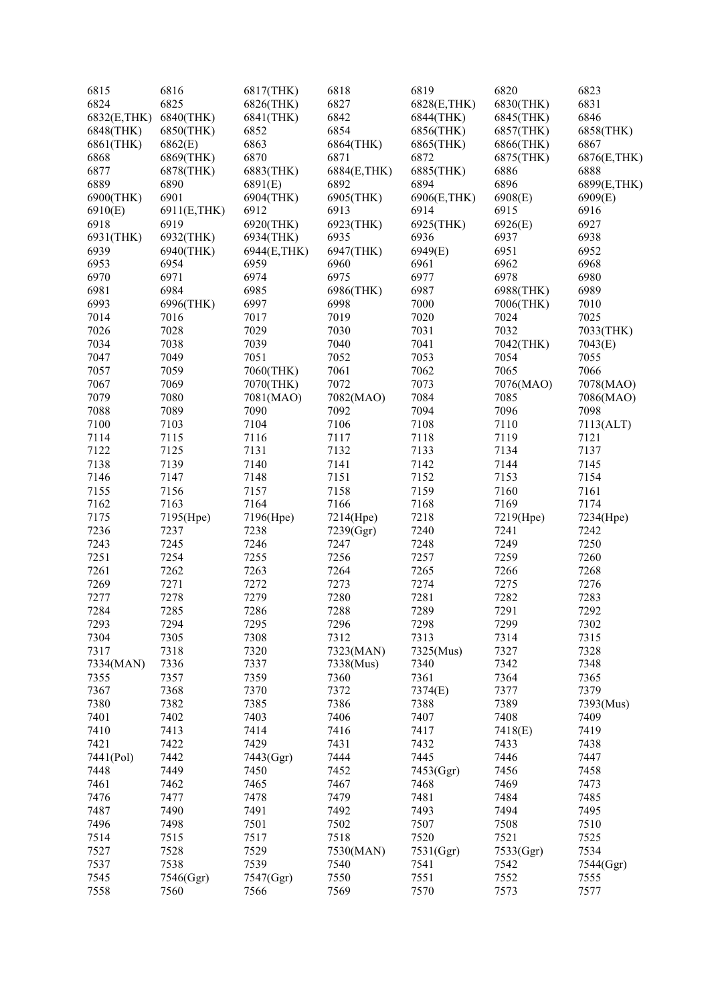| 6815         | 6816        | 6817(THK)   | 6818         | 6819         | 6820      | 6823        |
|--------------|-------------|-------------|--------------|--------------|-----------|-------------|
| 6824         | 6825        | 6826(THK)   | 6827         | 6828(E, THK) | 6830(THK) | 6831        |
| 6832(E, THK) | 6840(THK)   | 6841(THK)   | 6842         | 6844(THK)    | 6845(THK) | 6846        |
| 6848(THK)    | 6850(THK)   | 6852        | 6854         | 6856(THK)    | 6857(THK) | 6858(THK)   |
| 6861(THK)    | 6862(E)     | 6863        | 6864(THK)    | 6865(THK)    | 6866(THK) | 6867        |
| 6868         | 6869(THK)   | 6870        | 6871         | 6872         | 6875(THK) | 6876(E,THK) |
| 6877         | 6878(THK)   | 6883(THK)   | 6884(E, THK) | 6885(THK)    | 6886      | 6888        |
| 6889         | 6890        | 6891(E)     | 6892         | 6894         | 6896      | 6899(E,THK) |
| 6900(THK)    | 6901        | 6904(THK)   | 6905(THK)    | 6906(E,THK)  | 6908(E)   | 6909(E)     |
| 6910(E)      | 6911(E,THK) | 6912        | 6913         | 6914         | 6915      | 6916        |
| 6918         | 6919        | 6920(THK)   | 6923(THK)    | 6925(THK)    | 6926(E)   | 6927        |
| 6931(THK)    | 6932(THK)   | 6934(THK)   | 6935         | 6936         | 6937      | 6938        |
| 6939         | 6940(THK)   | 6944(E,THK) | 6947(THK)    | 6949(E)      | 6951      | 6952        |
| 6953         | 6954        | 6959        | 6960         | 6961         | 6962      | 6968        |
| 6970         | 6971        | 6974        | 6975         | 6977         | 6978      | 6980        |
| 6981         | 6984        | 6985        |              | 6987         |           | 6989        |
|              |             |             | 6986(THK)    |              | 6988(THK) |             |
| 6993         | 6996(THK)   | 6997        | 6998         | 7000         | 7006(THK) | 7010        |
| 7014         | 7016        | 7017        | 7019         | 7020         | 7024      | 7025        |
| 7026         | 7028        | 7029        | 7030         | 7031         | 7032      | 7033(THK)   |
| 7034         | 7038        | 7039        | 7040         | 7041         | 7042(THK) | 7043(E)     |
| 7047         | 7049        | 7051        | 7052         | 7053         | 7054      | 7055        |
| 7057         | 7059        | 7060(THK)   | 7061         | 7062         | 7065      | 7066        |
| 7067         | 7069        | 7070(THK)   | 7072         | 7073         | 7076(MAO) | 7078(MAO)   |
| 7079         | 7080        | 7081(MAO)   | 7082(MAO)    | 7084         | 7085      | 7086(MAO)   |
| 7088         | 7089        | 7090        | 7092         | 7094         | 7096      | 7098        |
| 7100         | 7103        | 7104        | 7106         | 7108         | 7110      | 7113(ALT)   |
| 7114         | 7115        | 7116        | 7117         | 7118         | 7119      | 7121        |
| 7122         | 7125        | 7131        | 7132         | 7133         | 7134      | 7137        |
| 7138         | 7139        | 7140        | 7141         | 7142         | 7144      | 7145        |
| 7146         | 7147        | 7148        | 7151         | 7152         | 7153      | 7154        |
| 7155         | 7156        | 7157        | 7158         | 7159         | 7160      | 7161        |
| 7162         | 7163        | 7164        | 7166         | 7168         | 7169      | 7174        |
| 7175         | 7195(Hpe)   | 7196(Hpe)   | 7214(Hpe)    | 7218         | 7219(Hpe) | 7234(Hpe)   |
| 7236         | 7237        | 7238        | 7239(Ggr)    | 7240         | 7241      | 7242        |
| 7243         | 7245        | 7246        | 7247         | 7248         | 7249      | 7250        |
| 7251         | 7254        | 7255        | 7256         | 7257         | 7259      | 7260        |
| 7261         | 7262        | 7263        | 7264         | 7265         | 7266      | 7268        |
| 7269         | 7271        | 7272        | 7273         | 7274         | 7275      | 7276        |
| 7277         | 7278        | 7279        | 7280         | 7281         | 7282      | 7283        |
| 7284         | 7285        | 7286        | 7288         | 7289         | 7291      | 7292        |
| 7293         | 7294        | 7295        | 7296         | 7298         | 7299      | 7302        |
| 7304         | 7305        | 7308        | 7312         | 7313         | 7314      | 7315        |
| 7317         | 7318        | 7320        | 7323(MAN)    | 7325(Mus)    | 7327      | 7328        |
|              | 7336        | 7337        |              | 7340         | 7342      | 7348        |
| 7334(MAN)    |             |             | 7338(Mus)    |              |           |             |
| 7355         | 7357        | 7359        | 7360         | 7361         | 7364      | 7365        |
| 7367         | 7368        | 7370        | 7372         | 7374(E)      | 7377      | 7379        |
| 7380         | 7382        | 7385        | 7386         | 7388         | 7389      | 7393(Mus)   |
| 7401         | 7402        | 7403        | 7406         | 7407         | 7408      | 7409        |
| 7410         | 7413        | 7414        | 7416         | 7417         | 7418(E)   | 7419        |
| 7421         | 7422        | 7429        | 7431         | 7432         | 7433      | 7438        |
| 7441(Pol)    | 7442        | 7443(Ggr)   | 7444         | 7445         | 7446      | 7447        |
| 7448         | 7449        | 7450        | 7452         | 7453(Ggr)    | 7456      | 7458        |
| 7461         | 7462        | 7465        | 7467         | 7468         | 7469      | 7473        |
| 7476         | 7477        | 7478        | 7479         | 7481         | 7484      | 7485        |
| 7487         | 7490        | 7491        | 7492         | 7493         | 7494      | 7495        |
| 7496         | 7498        | 7501        | 7502         | 7507         | 7508      | 7510        |
| 7514         | 7515        | 7517        | 7518         | 7520         | 7521      | 7525        |
| 7527         | 7528        | 7529        | 7530(MAN)    | 7531(Ggr)    | 7533(Ggr) | 7534        |
| 7537         | 7538        | 7539        | 7540         | 7541         | 7542      | 7544(Ggr)   |
| 7545         | 7546(Ggr)   | 7547(Ggr)   | 7550         | 7551         | 7552      | 7555        |
| 7558         | 7560        | 7566        | 7569         | 7570         | 7573      | 7577        |
|              |             |             |              |              |           |             |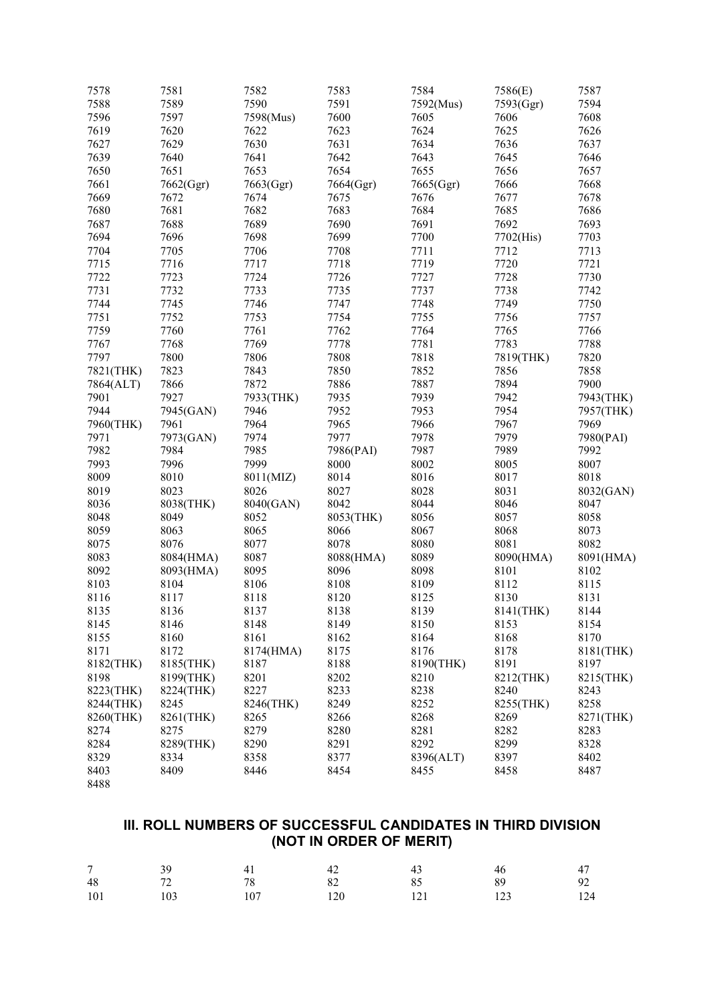|      | 7578      | 7581      | 7582      | 7583      | 7584      | 7586(E)   | 7587         |
|------|-----------|-----------|-----------|-----------|-----------|-----------|--------------|
|      | 7588      | 7589      | 7590      | 7591      | 7592(Mus) | 7593(Ggr) | 7594         |
|      | 7596      | 7597      | 7598(Mus) | 7600      | 7605      | 7606      | 7608         |
|      | 7619      | 7620      | 7622      | 7623      | 7624      | 7625      | 7626         |
|      | 7627      | 7629      | 7630      | 7631      | 7634      | 7636      | 7637         |
|      | 7639      | 7640      | 7641      | 7642      | 7643      | 7645      | 7646         |
|      | 7650      | 7651      | 7653      | 7654      | 7655      | 7656      | 7657         |
| 7661 |           | 7662(Ggr) | 7663(Ggr) | 7664(Ggr) | 7665(Ggr) | 7666      | 7668         |
|      | 7669      | 7672      | 7674      | 7675      | 7676      | 7677      | 7678         |
|      | 7680      | 7681      | 7682      | 7683      | 7684      | 7685      | 7686         |
|      | 7687      | 7688      | 7689      | 7690      | 7691      | 7692      | 7693         |
|      | 7694      | 7696      | 7698      | 7699      | 7700      | 7702(His) | 7703         |
|      | 7704      | 7705      | 7706      | 7708      | 7711      | 7712      | 7713         |
|      | 7715      | 7716      | 7717      | 7718      | 7719      | 7720      | 7721         |
|      | 7722      | 7723      | 7724      | 7726      | 7727      | 7728      | 7730         |
| 7731 |           | 7732      | 7733      | 7735      | 7737      | 7738      | 7742         |
|      | 7744      | 7745      | 7746      | 7747      | 7748      | 7749      | 7750         |
| 7751 |           | 7752      | 7753      | 7754      | 7755      | 7756      | 7757         |
|      | 7759      | 7760      | 7761      | 7762      | 7764      | 7765      | 7766         |
| 7767 |           | 7768      | 7769      | 7778      | 7781      | 7783      |              |
|      | 7797      | 7800      | 7806      | 7808      | 7818      | 7819(THK) | 7788<br>7820 |
|      |           |           |           |           |           |           |              |
|      | 7821(THK) | 7823      | 7843      | 7850      | 7852      | 7856      | 7858         |
|      | 7864(ALT) | 7866      | 7872      | 7886      | 7887      | 7894      | 7900         |
| 7901 |           | 7927      | 7933(THK) | 7935      | 7939      | 7942      | 7943(THK)    |
|      | 7944      | 7945(GAN) | 7946      | 7952      | 7953      | 7954      | 7957(THK)    |
|      | 7960(THK) | 7961      | 7964      | 7965      | 7966      | 7967      | 7969         |
| 7971 |           | 7973(GAN) | 7974      | 7977      | 7978      | 7979      | 7980(PAI)    |
|      | 7982      | 7984      | 7985      | 7986(PAI) | 7987      | 7989      | 7992         |
|      | 7993      | 7996      | 7999      | 8000      | 8002      | 8005      | 8007         |
|      | 8009      | 8010      | 8011(MIZ) | 8014      | 8016      | 8017      | 8018         |
|      | 8019      | 8023      | 8026      | 8027      | 8028      | 8031      | 8032(GAN)    |
|      | 8036      | 8038(THK) | 8040(GAN) | 8042      | 8044      | 8046      | 8047         |
|      | 8048      | 8049      | 8052      | 8053(THK) | 8056      | 8057      | 8058         |
|      | 8059      | 8063      | 8065      | 8066      | 8067      | 8068      | 8073         |
| 8075 |           | 8076      | 8077      | 8078      | 8080      | 8081      | 8082         |
| 8083 |           | 8084(HMA) | 8087      | 8088(HMA) | 8089      | 8090(HMA) | 8091(HMA)    |
| 8092 |           | 8093(HMA) | 8095      | 8096      | 8098      | 8101      | 8102         |
| 8103 |           | 8104      | 8106      | 8108      | 8109      | 8112      | 8115         |
|      | 8116      | 8117      | 8118      | 8120      | 8125      | 8130      | 8131         |
| 8135 |           | 8136      | 8137      | 8138      | 8139      | 8141(THK) | 8144         |
|      | 8145      | 8146      | 8148      | 8149      | 8150      | 8153      | 8154         |
|      | 8155      | 8160      | 8161      | 8162      | 8164      | 8168      | 8170         |
| 8171 |           | 8172      | 8174(HMA) | 8175      | 8176      | 8178      | 8181(THK)    |
|      | 8182(THK) | 8185(THK) | 8187      | 8188      | 8190(THK) | 8191      | 8197         |
|      | 8198      | 8199(THK) | 8201      | 8202      | 8210      | 8212(THK) | 8215(THK)    |
|      | 8223(THK) | 8224(THK) | 8227      | 8233      | 8238      | 8240      | 8243         |
|      | 8244(THK) | 8245      | 8246(THK) | 8249      | 8252      | 8255(THK) | 8258         |
|      | 8260(THK) | 8261(THK) | 8265      | 8266      | 8268      | 8269      | 8271(THK)    |
|      | 8274      | 8275      | 8279      | 8280      | 8281      | 8282      | 8283         |
|      | 8284      | 8289(THK) | 8290      | 8291      | 8292      | 8299      | 8328         |
|      | 8329      | 8334      | 8358      | 8377      | 8396(ALT) | 8397      | 8402         |
|      | 8403      | 8409      | 8446      | 8454      | 8455      | 8458      | 8487         |
| 8488 |           |           |           |           |           |           |              |

# **III. ROLL NUMBERS OF SUCCESSFUL CANDIDATES IN THIRD DIVISION (NOT IN ORDER OF MERIT)**

| $\overline{a}$ | 39  | 41  | 42  | 43 | 46  | 47  |
|----------------|-----|-----|-----|----|-----|-----|
| 48             | 72  | 78  | 82  | 85 | 89  | 92  |
| 101            | 103 | 107 | 120 |    | 123 | 124 |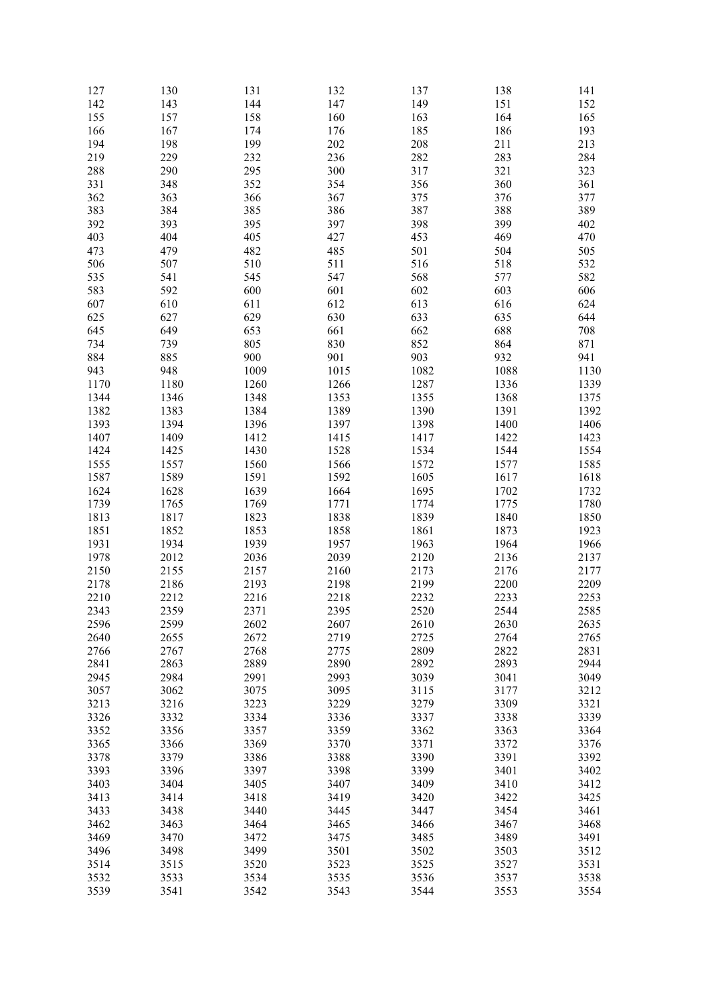| 127  | 130  | 131  | 132  | 137  | 138  | 141  |
|------|------|------|------|------|------|------|
| 142  | 143  | 144  | 147  | 149  | 151  | 152  |
| 155  | 157  | 158  | 160  | 163  | 164  | 165  |
| 166  | 167  | 174  | 176  | 185  | 186  | 193  |
|      |      |      |      |      |      |      |
| 194  | 198  | 199  | 202  | 208  | 211  | 213  |
| 219  | 229  | 232  | 236  | 282  | 283  | 284  |
| 288  | 290  | 295  | 300  | 317  | 321  | 323  |
| 331  | 348  | 352  | 354  | 356  | 360  | 361  |
| 362  | 363  | 366  | 367  | 375  | 376  | 377  |
| 383  | 384  | 385  | 386  | 387  | 388  | 389  |
|      |      |      |      |      |      |      |
| 392  | 393  | 395  | 397  | 398  | 399  | 402  |
| 403  | 404  | 405  | 427  | 453  | 469  | 470  |
| 473  | 479  | 482  | 485  | 501  | 504  | 505  |
| 506  | 507  | 510  | 511  | 516  | 518  | 532  |
| 535  | 541  | 545  | 547  | 568  | 577  | 582  |
| 583  |      | 600  | 601  |      | 603  | 606  |
|      | 592  |      |      | 602  |      |      |
| 607  | 610  | 611  | 612  | 613  | 616  | 624  |
| 625  | 627  | 629  | 630  | 633  | 635  | 644  |
| 645  | 649  | 653  | 661  | 662  | 688  | 708  |
| 734  | 739  | 805  | 830  | 852  | 864  | 871  |
| 884  | 885  | 900  | 901  | 903  | 932  | 941  |
|      | 948  | 1009 | 1015 | 1082 | 1088 | 1130 |
| 943  |      |      |      |      |      |      |
| 1170 | 1180 | 1260 | 1266 | 1287 | 1336 | 1339 |
| 1344 | 1346 | 1348 | 1353 | 1355 | 1368 | 1375 |
| 1382 | 1383 | 1384 | 1389 | 1390 | 1391 | 1392 |
| 1393 | 1394 | 1396 | 1397 | 1398 | 1400 | 1406 |
| 1407 | 1409 | 1412 | 1415 | 1417 | 1422 | 1423 |
| 1424 | 1425 | 1430 | 1528 | 1534 | 1544 | 1554 |
|      |      |      |      |      |      |      |
| 1555 | 1557 | 1560 | 1566 | 1572 | 1577 | 1585 |
| 1587 | 1589 | 1591 | 1592 | 1605 | 1617 | 1618 |
| 1624 | 1628 | 1639 | 1664 | 1695 | 1702 | 1732 |
| 1739 | 1765 | 1769 | 1771 | 1774 | 1775 | 1780 |
| 1813 | 1817 | 1823 | 1838 | 1839 | 1840 | 1850 |
| 1851 | 1852 | 1853 | 1858 | 1861 | 1873 | 1923 |
|      |      |      |      |      |      |      |
| 1931 | 1934 | 1939 | 1957 | 1963 | 1964 | 1966 |
| 1978 | 2012 | 2036 | 2039 | 2120 | 2136 | 2137 |
| 2150 | 2155 | 2157 | 2160 | 2173 | 2176 | 2177 |
| 2178 | 2186 | 2193 | 2198 | 2199 | 2200 | 2209 |
| 2210 | 2212 | 2216 | 2218 | 2232 | 2233 | 2253 |
| 2343 | 2359 | 2371 | 2395 | 2520 | 2544 | 2585 |
| 2596 | 2599 | 2602 | 2607 | 2610 | 2630 | 2635 |
|      |      |      |      |      |      |      |
| 2640 | 2655 | 2672 | 2719 | 2725 | 2764 | 2765 |
| 2766 | 2767 | 2768 | 2775 | 2809 | 2822 | 2831 |
| 2841 | 2863 | 2889 | 2890 | 2892 | 2893 | 2944 |
| 2945 | 2984 | 2991 | 2993 | 3039 | 3041 | 3049 |
| 3057 | 3062 | 3075 | 3095 | 3115 | 3177 | 3212 |
| 3213 | 3216 | 3223 | 3229 | 3279 | 3309 | 3321 |
|      |      |      |      |      |      | 3339 |
| 3326 | 3332 | 3334 | 3336 | 3337 | 3338 |      |
| 3352 | 3356 | 3357 | 3359 | 3362 | 3363 | 3364 |
| 3365 | 3366 | 3369 | 3370 | 3371 | 3372 | 3376 |
| 3378 | 3379 | 3386 | 3388 | 3390 | 3391 | 3392 |
| 3393 | 3396 | 3397 | 3398 | 3399 | 3401 | 3402 |
| 3403 | 3404 | 3405 | 3407 | 3409 | 3410 | 3412 |
| 3413 | 3414 | 3418 | 3419 | 3420 | 3422 | 3425 |
|      |      |      |      |      |      |      |
| 3433 | 3438 | 3440 | 3445 | 3447 | 3454 | 3461 |
| 3462 | 3463 | 3464 | 3465 | 3466 | 3467 | 3468 |
| 3469 | 3470 | 3472 | 3475 | 3485 | 3489 | 3491 |
| 3496 | 3498 | 3499 | 3501 | 3502 | 3503 | 3512 |
| 3514 | 3515 | 3520 | 3523 | 3525 | 3527 | 3531 |
| 3532 | 3533 | 3534 | 3535 | 3536 | 3537 | 3538 |
|      |      |      |      |      |      |      |
| 3539 | 3541 | 3542 | 3543 | 3544 | 3553 | 3554 |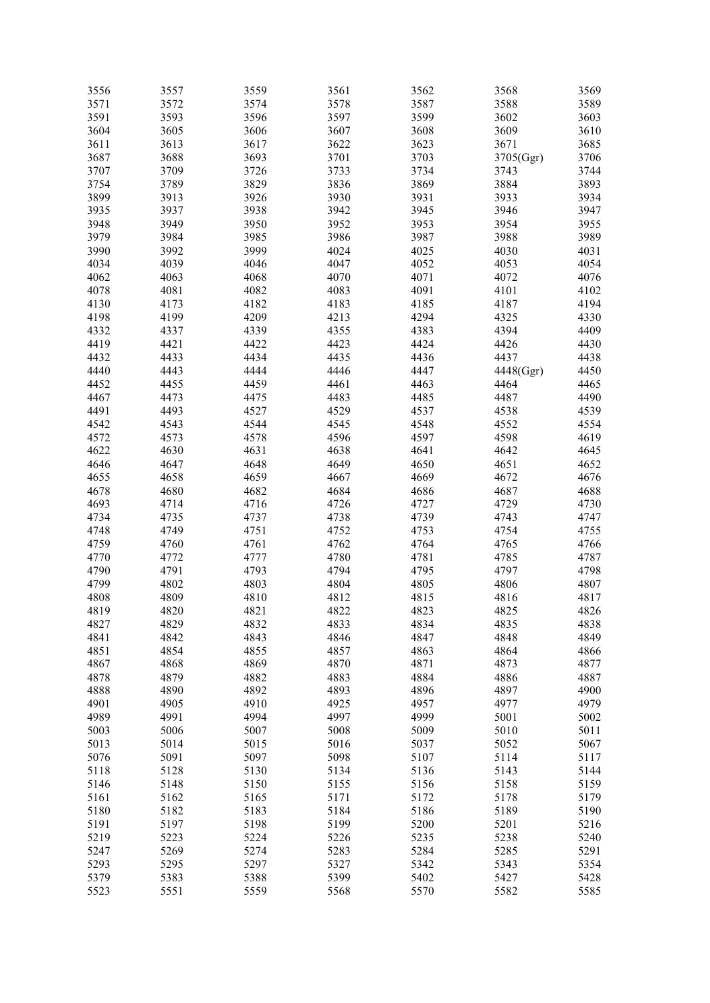| 3556 | 3557 | 3559 | 3561 | 3562 | 3568      | 3569 |
|------|------|------|------|------|-----------|------|
| 3571 | 3572 | 3574 | 3578 | 3587 | 3588      | 3589 |
| 3591 | 3593 | 3596 | 3597 | 3599 | 3602      | 3603 |
|      |      |      |      |      | 3609      |      |
| 3604 | 3605 | 3606 | 3607 | 3608 |           | 3610 |
| 3611 | 3613 | 3617 | 3622 | 3623 | 3671      | 3685 |
| 3687 | 3688 | 3693 | 3701 | 3703 | 3705(Ggr) | 3706 |
| 3707 | 3709 | 3726 | 3733 | 3734 | 3743      | 3744 |
| 3754 | 3789 | 3829 | 3836 | 3869 | 3884      | 3893 |
| 3899 | 3913 | 3926 | 3930 | 3931 | 3933      | 3934 |
|      |      |      |      |      |           |      |
| 3935 | 3937 | 3938 | 3942 | 3945 | 3946      | 3947 |
| 3948 | 3949 | 3950 | 3952 | 3953 | 3954      | 3955 |
| 3979 | 3984 | 3985 | 3986 | 3987 | 3988      | 3989 |
| 3990 | 3992 | 3999 | 4024 | 4025 | 4030      | 4031 |
| 4034 | 4039 | 4046 | 4047 | 4052 | 4053      | 4054 |
| 4062 | 4063 | 4068 | 4070 | 4071 | 4072      | 4076 |
| 4078 |      |      |      | 4091 |           |      |
|      | 4081 | 4082 | 4083 |      | 4101      | 4102 |
| 4130 | 4173 | 4182 | 4183 | 4185 | 4187      | 4194 |
| 4198 | 4199 | 4209 | 4213 | 4294 | 4325      | 4330 |
| 4332 | 4337 | 4339 | 4355 | 4383 | 4394      | 4409 |
| 4419 | 4421 | 4422 | 4423 | 4424 | 4426      | 4430 |
| 4432 | 4433 | 4434 | 4435 | 4436 | 4437      | 4438 |
|      |      | 4444 |      |      |           |      |
| 4440 | 4443 |      | 4446 | 4447 | 4448(Ggr) | 4450 |
| 4452 | 4455 | 4459 | 4461 | 4463 | 4464      | 4465 |
| 4467 | 4473 | 4475 | 4483 | 4485 | 4487      | 4490 |
| 4491 | 4493 | 4527 | 4529 | 4537 | 4538      | 4539 |
| 4542 | 4543 | 4544 | 4545 | 4548 | 4552      | 4554 |
| 4572 | 4573 | 4578 | 4596 | 4597 | 4598      | 4619 |
| 4622 | 4630 | 4631 | 4638 | 4641 | 4642      | 4645 |
|      |      |      |      |      |           |      |
| 4646 | 4647 | 4648 | 4649 | 4650 | 4651      | 4652 |
| 4655 | 4658 | 4659 | 4667 | 4669 | 4672      | 4676 |
| 4678 | 4680 | 4682 | 4684 | 4686 | 4687      | 4688 |
| 4693 | 4714 | 4716 | 4726 | 4727 | 4729      | 4730 |
| 4734 | 4735 | 4737 | 4738 | 4739 | 4743      | 4747 |
| 4748 | 4749 | 4751 | 4752 | 4753 | 4754      | 4755 |
|      |      |      |      |      |           |      |
| 4759 | 4760 | 4761 | 4762 | 4764 | 4765      | 4766 |
| 4770 | 4772 | 4777 | 4780 | 4781 | 4785      | 4787 |
| 4790 | 4791 | 4793 | 4794 | 4795 | 4797      | 4798 |
| 4799 | 4802 | 4803 | 4804 | 4805 | 4806      | 4807 |
| 4808 | 4809 | 4810 | 4812 | 4815 | 4816      | 4817 |
| 4819 | 4820 | 4821 | 4822 | 4823 | 4825      | 4826 |
|      |      |      |      |      |           |      |
| 4827 | 4829 | 4832 | 4833 | 4834 | 4835      | 4838 |
| 4841 | 4842 | 4843 | 4846 | 4847 | 4848      | 4849 |
| 4851 | 4854 | 4855 | 4857 | 4863 | 4864      | 4866 |
| 4867 | 4868 | 4869 | 4870 | 4871 | 4873      | 4877 |
| 4878 | 4879 | 4882 | 4883 | 4884 | 4886      | 4887 |
| 4888 | 4890 | 4892 | 4893 | 4896 | 4897      | 4900 |
|      |      |      | 4925 | 4957 |           |      |
| 4901 | 4905 | 4910 |      |      | 4977      | 4979 |
| 4989 | 4991 | 4994 | 4997 | 4999 | 5001      | 5002 |
| 5003 | 5006 | 5007 | 5008 | 5009 | 5010      | 5011 |
| 5013 | 5014 | 5015 | 5016 | 5037 | 5052      | 5067 |
| 5076 | 5091 | 5097 | 5098 | 5107 | 5114      | 5117 |
| 5118 | 5128 | 5130 | 5134 | 5136 | 5143      | 5144 |
|      |      |      |      |      |           |      |
| 5146 | 5148 | 5150 | 5155 | 5156 | 5158      | 5159 |
| 5161 | 5162 | 5165 | 5171 | 5172 | 5178      | 5179 |
| 5180 | 5182 | 5183 | 5184 | 5186 | 5189      | 5190 |
| 5191 | 5197 | 5198 | 5199 | 5200 | 5201      | 5216 |
| 5219 | 5223 | 5224 | 5226 | 5235 | 5238      | 5240 |
| 5247 | 5269 | 5274 | 5283 | 5284 | 5285      | 5291 |
| 5293 |      |      |      |      |           | 5354 |
|      | 5295 | 5297 | 5327 | 5342 | 5343      |      |
| 5379 | 5383 | 5388 | 5399 | 5402 | 5427      | 5428 |
| 5523 | 5551 | 5559 | 5568 | 5570 | 5582      | 5585 |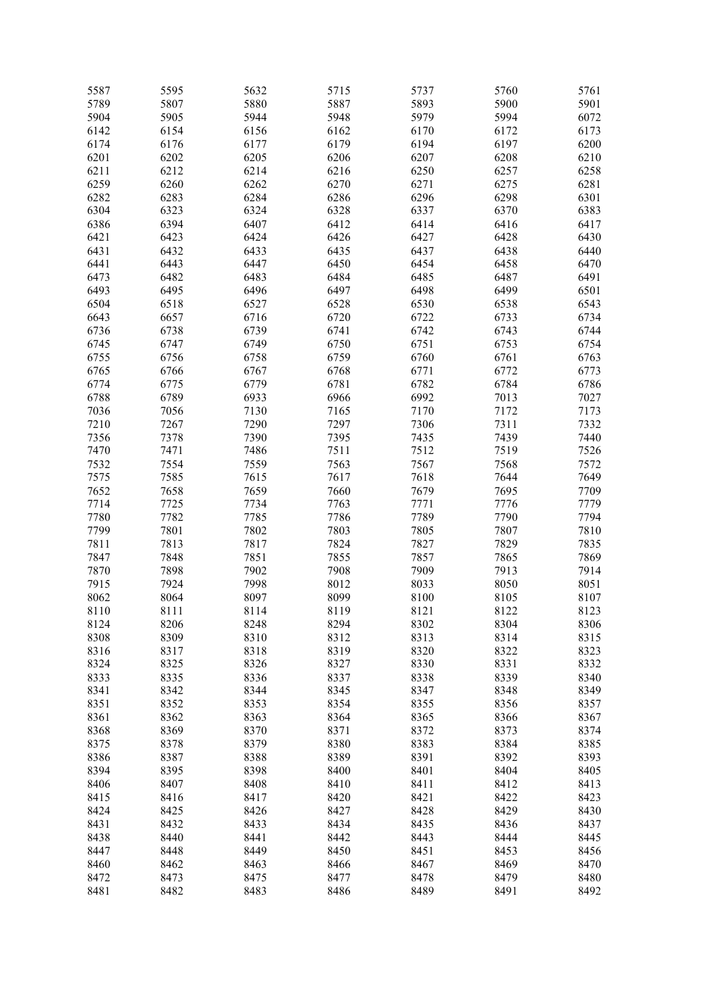| 5587 | 5595 | 5632 | 5715 | 5737 | 5760 | 5761 |
|------|------|------|------|------|------|------|
| 5789 | 5807 | 5880 | 5887 | 5893 | 5900 | 5901 |
| 5904 | 5905 | 5944 | 5948 | 5979 | 5994 | 6072 |
| 6142 | 6154 | 6156 | 6162 | 6170 | 6172 | 6173 |
| 6174 | 6176 | 6177 | 6179 | 6194 | 6197 | 6200 |
|      |      |      |      |      |      |      |
| 6201 | 6202 | 6205 | 6206 | 6207 | 6208 | 6210 |
| 6211 | 6212 | 6214 | 6216 | 6250 | 6257 | 6258 |
| 6259 | 6260 | 6262 | 6270 | 6271 | 6275 | 6281 |
| 6282 | 6283 | 6284 | 6286 | 6296 | 6298 | 6301 |
| 6304 | 6323 | 6324 | 6328 | 6337 | 6370 | 6383 |
| 6386 | 6394 | 6407 | 6412 | 6414 | 6416 | 6417 |
| 6421 | 6423 | 6424 | 6426 | 6427 | 6428 | 6430 |
|      |      |      |      |      |      |      |
| 6431 | 6432 | 6433 | 6435 | 6437 | 6438 | 6440 |
| 6441 | 6443 | 6447 | 6450 | 6454 | 6458 | 6470 |
| 6473 | 6482 | 6483 | 6484 | 6485 | 6487 | 6491 |
| 6493 | 6495 | 6496 | 6497 | 6498 | 6499 | 6501 |
| 6504 | 6518 | 6527 | 6528 | 6530 | 6538 | 6543 |
| 6643 | 6657 | 6716 | 6720 | 6722 | 6733 | 6734 |
| 6736 | 6738 | 6739 | 6741 | 6742 | 6743 | 6744 |
| 6745 | 6747 | 6749 | 6750 | 6751 | 6753 | 6754 |
|      |      |      |      |      |      |      |
| 6755 | 6756 | 6758 | 6759 | 6760 | 6761 | 6763 |
| 6765 | 6766 | 6767 | 6768 | 6771 | 6772 | 6773 |
| 6774 | 6775 | 6779 | 6781 | 6782 | 6784 | 6786 |
| 6788 | 6789 | 6933 | 6966 | 6992 | 7013 | 7027 |
| 7036 | 7056 | 7130 | 7165 | 7170 | 7172 | 7173 |
| 7210 | 7267 | 7290 | 7297 | 7306 | 7311 | 7332 |
| 7356 | 7378 | 7390 | 7395 | 7435 | 7439 | 7440 |
| 7470 | 7471 | 7486 | 7511 | 7512 | 7519 | 7526 |
| 7532 | 7554 | 7559 | 7563 | 7567 | 7568 | 7572 |
|      |      |      |      |      |      |      |
| 7575 | 7585 | 7615 | 7617 | 7618 | 7644 | 7649 |
| 7652 | 7658 | 7659 | 7660 | 7679 | 7695 | 7709 |
| 7714 | 7725 | 7734 | 7763 | 7771 | 7776 | 7779 |
| 7780 | 7782 | 7785 | 7786 | 7789 | 7790 | 7794 |
| 7799 | 7801 | 7802 | 7803 | 7805 | 7807 | 7810 |
| 7811 | 7813 | 7817 | 7824 | 7827 | 7829 | 7835 |
| 7847 | 7848 | 7851 | 7855 | 7857 | 7865 | 7869 |
| 7870 | 7898 | 7902 | 7908 | 7909 | 7913 | 7914 |
| 7915 | 7924 | 7998 | 8012 | 8033 | 8050 | 8051 |
|      |      |      |      |      |      |      |
| 8062 | 8064 | 8097 | 8099 | 8100 | 8105 | 8107 |
| 8110 | 8111 | 8114 | 8119 | 8121 | 8122 | 8123 |
| 8124 | 8206 | 8248 | 8294 | 8302 | 8304 | 8306 |
| 8308 | 8309 | 8310 | 8312 | 8313 | 8314 | 8315 |
| 8316 | 8317 | 8318 | 8319 | 8320 | 8322 | 8323 |
| 8324 | 8325 | 8326 | 8327 | 8330 | 8331 | 8332 |
| 8333 | 8335 | 8336 | 8337 | 8338 | 8339 | 8340 |
| 8341 | 8342 | 8344 | 8345 | 8347 | 8348 | 8349 |
|      |      |      |      | 8355 |      |      |
| 8351 | 8352 | 8353 | 8354 |      | 8356 | 8357 |
| 8361 | 8362 | 8363 | 8364 | 8365 | 8366 | 8367 |
| 8368 | 8369 | 8370 | 8371 | 8372 | 8373 | 8374 |
| 8375 | 8378 | 8379 | 8380 | 8383 | 8384 | 8385 |
| 8386 | 8387 | 8388 | 8389 | 8391 | 8392 | 8393 |
| 8394 | 8395 | 8398 | 8400 | 8401 | 8404 | 8405 |
| 8406 | 8407 | 8408 | 8410 | 8411 | 8412 | 8413 |
| 8415 | 8416 | 8417 | 8420 | 8421 | 8422 | 8423 |
| 8424 | 8425 | 8426 | 8427 | 8428 | 8429 | 8430 |
|      |      |      |      |      |      |      |
| 8431 | 8432 | 8433 | 8434 | 8435 | 8436 | 8437 |
| 8438 | 8440 | 8441 | 8442 | 8443 | 8444 | 8445 |
| 8447 | 8448 | 8449 | 8450 | 8451 | 8453 | 8456 |
| 8460 | 8462 | 8463 | 8466 | 8467 | 8469 | 8470 |
| 8472 | 8473 | 8475 | 8477 | 8478 | 8479 | 8480 |
| 8481 | 8482 | 8483 | 8486 | 8489 | 8491 | 8492 |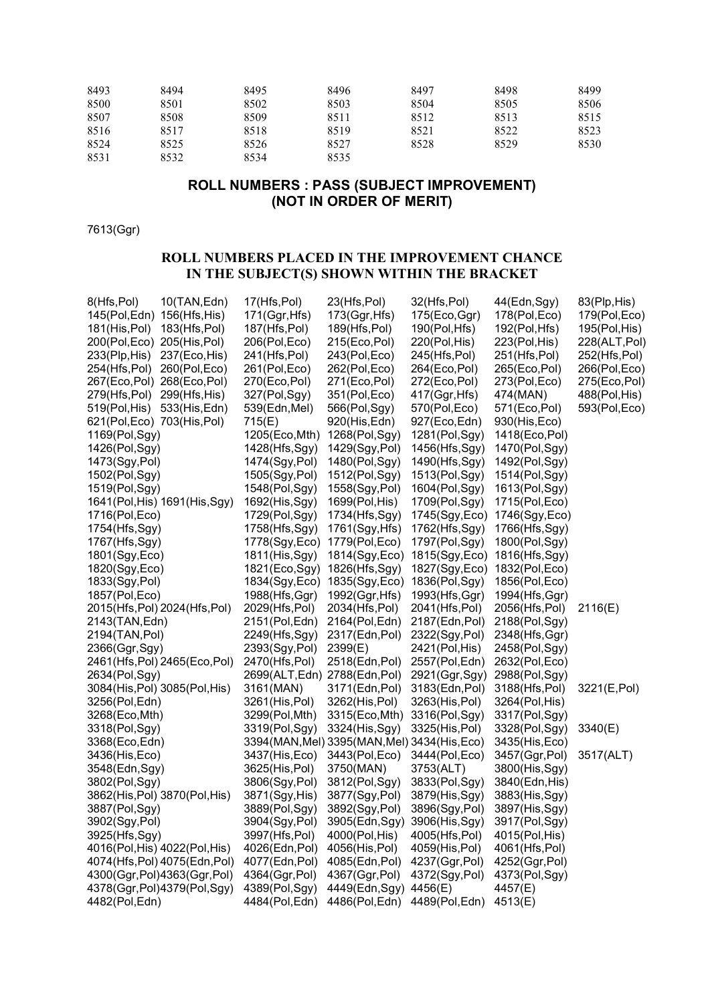| 8493 | 8494 | 8495 | 8496 | 8497 | 8498 | 8499 |
|------|------|------|------|------|------|------|
| 8500 | 8501 | 8502 | 8503 | 8504 | 8505 | 8506 |
| 8507 | 8508 | 8509 | 8511 | 8512 | 8513 | 8515 |
| 8516 | 8517 | 8518 | 8519 | 8521 | 8522 | 8523 |
| 8524 | 8525 | 8526 | 8527 | 8528 | 8529 | 8530 |
| 8531 | 8532 | 8534 | 8535 |      |      |      |

### **ROLL NUMBERS : PASS (SUBJECT IMPROVEMENT) (NOT IN ORDER OF MERIT)**

7613(Ggr)

### **ROLL NUMBERS PLACED IN THE IMPROVEMENT CHANCE IN THE SUBJECT(S) SHOWN WITHIN THE BRACKET**

| 8(Hfs, Pol)<br>10(TAN,Edn)        | 17(Hfs,Pol)                   | 23(Hfs,Pol)                                  | 32(Hfs,Pol)    | 44(Edn,Sgy)    | 83(Plp, His)  |
|-----------------------------------|-------------------------------|----------------------------------------------|----------------|----------------|---------------|
| 145(Pol, Edn) 156(Hfs, His)       | 171(Ggr, Hfs)                 | 173(Ggr, Hfs)                                | 175(Eco, Ggr)  | 178(Pol,Eco)   | 179(Pol, Eco) |
| 181(His, Pol)<br>183(Hfs, Pol)    | 187(Hfs,Pol)                  | 189(Hfs, Pol)                                | 190(Pol, Hfs)  | 192(Pol, Hfs)  | 195(Pol, His) |
| 200(Pol,Eco) 205(His,Pol)         | 206(Pol,Eco)                  | 215(Eco, Pol)                                | 220(Pol, His)  | 223(Pol, His)  | 228(ALT,Pol)  |
| 237(Eco, His)<br>$233$ (Plp, His) | 241(Hfs, Pol)                 | 243(Pol, Eco)                                | 245(Hfs, Pol)  | 251(Hfs,Pol)   | 252(Hfs,Pol)  |
| 254(Hfs,Pol)<br>260(Pol,Eco)      | 261(Pol, Eco)                 | 262(Pol, Eco)                                | 264(Eco, Pol)  | 265(Eco, Pol)  | 266(Pol,Eco)  |
| 268(Eco, Pol)<br>267(Eco,Pol)     | 270(Eco, Pol)                 | 271(Eco, Pol)                                | 272(Eco, Pol)  | 273(Pol,Eco)   | 275(Eco, Pol) |
| 299(Hfs, His)<br>279(Hfs,Pol)     | 327(Pol,Sgy)                  | 351(Pol,Eco)                                 | 417(Ggr, Hfs)  | 474(MAN)       | 488(Pol, His) |
| 519(Pol, His)<br>533(His, Edn)    | 539(Edn, Mel)                 | 566(Pol,Sgy)                                 | 570(Pol,Eco)   | 571(Eco, Pol)  | 593(Pol,Eco)  |
| 621(Pol, Eco) 703(His, Pol)       | 715(E)                        | 920(His, Edn)                                | 927(Eco, Edn)  | 930(His,Eco)   |               |
| 1169(Pol,Sgy)                     | 1205(Eco, Mth)                | 1268(Pol,Sgy)                                | 1281(Pol,Sgy)  | 1418(Eco, Pol) |               |
| 1426(Pol,Sgy)                     | 1428(Hfs,Sgy)                 | 1429(Sgy, Pol)                               | 1456(Hfs,Sgy)  | 1470(Pol,Sgy)  |               |
| 1473(Sgy, Pol)                    | 1474(Sgy, Pol)                | 1480(Pol,Sgy)                                | 1490(Hfs,Sgy)  | 1492(Pol,Sgy)  |               |
| 1502(Pol,Sgy)                     | 1505(Sgy, Pol)                | 1512(Pol,Sgy)                                | 1513(Pol,Sgy)  | 1514(Pol,Sgy)  |               |
| 1519(Pol,Sgy)                     | 1548(Pol,Sgy)                 | 1558(Sgy, Pol)                               | 1604(Pol,Sgy)  | 1613(Pol,Sgy)  |               |
| 1641(Pol, His) 1691(His, Sgy)     | 1692(His, Sgy)                | 1699(Pol, His)                               | 1709(Pol,Sgy)  | 1715(Pol, Eco) |               |
| 1716(Pol, Eco)                    | 1729(Pol,Sgy)                 | 1734(Hfs,Sgy)                                | 1745(Sgy, Eco) | 1746(Sgy, Eco) |               |
| 1754(Hfs,Sgy)                     | 1758(Hfs,Sgy)                 | 1761(Sgy, Hfs)                               | 1762(Hfs,Sgy)  | 1766(Hfs,Sgy)  |               |
| 1767(Hfs,Sgy)                     | 1778(Sgy, Eco)                | 1779(Pol,Eco)                                | 1797(Pol,Sgy)  | 1800(Pol,Sgy)  |               |
| 1801(Sgy, Eco)                    | 1811(His, Sgy)                | 1814(Sgy, Eco)                               | 1815(Sgy, Eco) | 1816(Hfs,Sgy)  |               |
| 1820(Sgy, Eco)                    | 1821(Eco, Sgy)                | 1826(Hfs,Sgy)                                | 1827(Sgy, Eco) | 1832(Pol, Eco) |               |
| 1833(Sgy, Pol)                    | 1834(Sgy, Eco)                | 1835(Sgy, Eco)                               | 1836(Pol,Sgy)  | 1856(Pol, Eco) |               |
| 1857(Pol, Eco)                    | 1988(Hfs, Ggr)                | 1992(Ggr, Hfs)                               | 1993(Hfs, Ggr) | 1994(Hfs, Ggr) |               |
| 2015(Hfs, Pol) 2024(Hfs, Pol)     | 2029(Hfs,Pol)                 | 2034(Hfs,Pol)                                | 2041(Hfs, Pol) | 2056(Hfs,Pol)  | 2116(E)       |
| 2143(TAN, Edn)                    | 2151(Pol, Edn)                | 2164(Pol,Edn)                                | 2187(Edn, Pol) | 2188(Pol,Sgy)  |               |
| 2194(TAN, Pol)                    | 2249(Hfs,Sgy)                 | 2317(Edn,Pol)                                | 2322(Sgy, Pol) | 2348(Hfs, Ggr) |               |
| 2366(Ggr, Sgy)                    | 2393(Sgy, Pol)                | 2399(E)                                      | 2421(Pol, His) | 2458(Pol,Sgy)  |               |
| 2461(Hfs, Pol) 2465(Eco, Pol)     | 2470(Hfs,Pol)                 | 2518(Edn,Pol)                                | 2557(Pol,Edn)  | 2632(Pol,Eco)  |               |
| 2634(Pol,Sgy)                     | 2699(ALT, Edn) 2788(Edn, Pol) |                                              | 2921(Ggr, Sgy) | 2988(Pol,Sgy)  |               |
| 3084(His, Pol) 3085(Pol, His)     | 3161(MAN)                     | 3171(Edn, Pol)                               | 3183(Edn, Pol) | 3188(Hfs,Pol)  | 3221(E,Pol)   |
| 3256(Pol,Edn)                     | 3261(His, Pol)                | 3262(His, Pol)                               | 3263(His, Pol) | 3264(Pol, His) |               |
| 3268(Eco, Mth)                    | 3299(Pol, Mth)                | 3315(Eco, Mth)                               | 3316(Pol,Sgy)  | 3317(Pol,Sgy)  |               |
| 3318(Pol,Sgy)                     | 3319(Pol,Sgy)                 | 3324(His, Sgy)                               | 3325(His, Pol) | 3328(Pol,Sgy)  | 3340(E)       |
| 3368(Eco, Edn)                    |                               | 3394(MAN, Mel) 3395(MAN, Mel) 3434(His, Eco) |                | 3435(His, Eco) |               |
| 3436(His, Eco)                    | 3437(His, Eco)                | 3443(Pol, Eco)                               | 3444(Pol, Eco) | 3457(Ggr, Pol) | 3517(ALT)     |
| 3548(Edn, Sgy)                    | 3625(His,Pol)                 | 3750(MAN)                                    | 3753(ALT)      | 3800(His, Sgy) |               |
| 3802(Pol,Sgy)                     | 3806(Sgy, Pol)                | 3812(Pol,Sgy)                                | 3833(Pol,Sgy)  | 3840(Edn, His) |               |
| 3862(His, Pol) 3870(Pol, His)     | 3871(Sgy, His)                | 3877(Sgy, Pol)                               | 3879(His, Sgy) | 3883(His, Sgy) |               |
| 3887(Pol,Sgy)                     | 3889(Pol,Sgy)                 | 3892(Sgy, Pol)                               | 3896(Sgy, Pol) | 3897(His, Sgy) |               |
| 3902(Sgy, Pol)                    | 3904(Sgy, Pol)                | 3905(Edn,Sgy)                                | 3906(His, Sgy) | 3917(Pol,Sgy)  |               |
| 3925(Hfs,Sgy)                     | 3997(Hfs,Pol)                 | 4000(Pol, His)                               | 4005(Hfs,Pol)  | 4015(Pol, His) |               |
| 4016(Pol, His) 4022(Pol, His)     | 4026(Edn,Pol)                 | 4056(His, Pol)                               | 4059(His, Pol) | 4061(Hfs,Pol)  |               |
| 4074(Hfs, Pol) 4075(Edn, Pol)     | 4077(Edn,Pol)                 | 4085(Edn,Pol)                                | 4237(Ggr, Pol) | 4252(Ggr, Pol) |               |
| 4300(Ggr, Pol) 4363(Ggr, Pol)     | 4364(Ggr, Pol)                | 4367(Ggr, Pol)                               | 4372(Sgy, Pol) | 4373(Pol,Sgy)  |               |
| 4378(Ggr,Pol)4379(Pol,Sgy)        | 4389(Pol,Sgy)                 | 4449(Edn, Sgy)                               | 4456(E)        | 4457(E)        |               |
| 4482(Pol, Edn)                    | 4484(Pol, Edn)                | 4486(Pol, Edn)                               | 4489(Pol, Edn) | 4513(E)        |               |